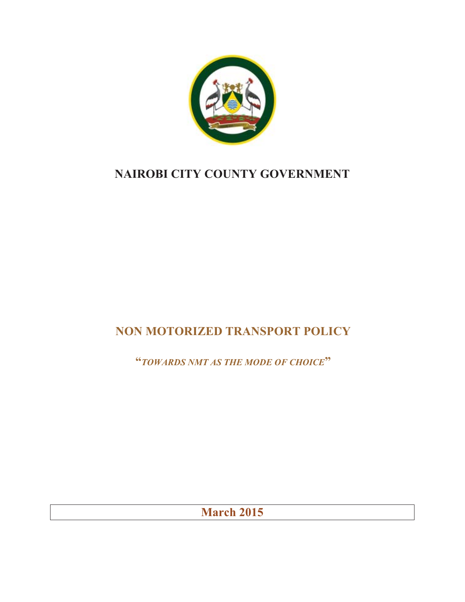

# **NAIROBI CITY COUNTY GOVERNMENT**

# **NON MOTORIZED TRANSPORT POLICY**

**"***TOWARDS NMT AS THE MODE OF CHOICE***"**

**March 2015**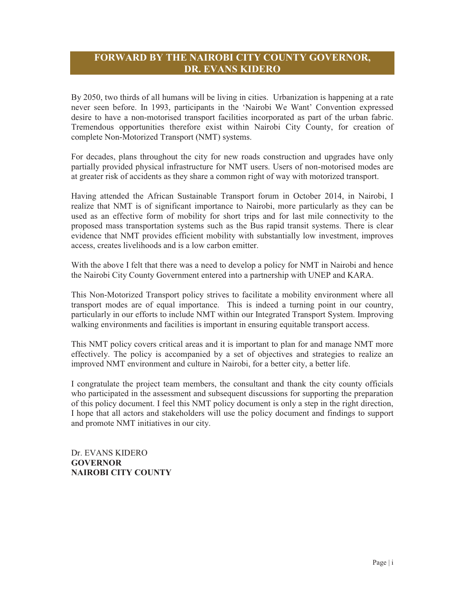# **FORWARD BY THE NAIROBI CITY COUNTY GOVERNOR, DR. EVANS KIDERO**

By 2050, two thirds of all humans will be living in cities. Urbanization is happening at a rate never seen before. In 1993, participants in the 'Nairobi We Want' Convention expressed desire to have a non-motorised transport facilities incorporated as part of the urban fabric. Tremendous opportunities therefore exist within Nairobi City County, for creation of complete Non-Motorized Transport (NMT) systems.

For decades, plans throughout the city for new roads construction and upgrades have only partially provided physical infrastructure for NMT users. Users of non-motorised modes are at greater risk of accidents as they share a common right of way with motorized transport.

Having attended the African Sustainable Transport forum in October 2014, in Nairobi, I realize that NMT is of significant importance to Nairobi, more particularly as they can be used as an effective form of mobility for short trips and for last mile connectivity to the proposed mass transportation systems such as the Bus rapid transit systems. There is clear evidence that NMT provides efficient mobility with substantially low investment, improves access, creates livelihoods and is a low carbon emitter.

With the above I felt that there was a need to develop a policy for NMT in Nairobi and hence the Nairobi City County Government entered into a partnership with UNEP and KARA.

This Non-Motorized Transport policy strives to facilitate a mobility environment where all transport modes are of equal importance. This is indeed a turning point in our country, particularly in our efforts to include NMT within our Integrated Transport System. Improving walking environments and facilities is important in ensuring equitable transport access.

This NMT policy covers critical areas and it is important to plan for and manage NMT more effectively. The policy is accompanied by a set of objectives and strategies to realize an improved NMT environment and culture in Nairobi, for a better city, a better life.

I congratulate the project team members, the consultant and thank the city county officials who participated in the assessment and subsequent discussions for supporting the preparation of this policy document. I feel this NMT policy document is only a step in the right direction, I hope that all actors and stakeholders will use the policy document and findings to support and promote NMT initiatives in our city.

Dr. EVANS KIDERO **GOVERNOR NAIROBI CITY COUNTY**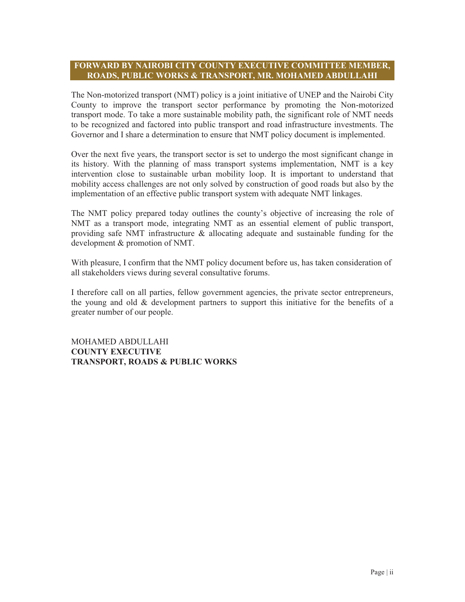## **FORWARD BY NAIROBI CITY COUNTY EXECUTIVE COMMITTEE MEMBER, ROADS, PUBLIC WORKS & TRANSPORT, MR. MOHAMED ABDULLAHI**

The Non-motorized transport (NMT) policy is a joint initiative of UNEP and the Nairobi City County to improve the transport sector performance by promoting the Non-motorized transport mode. To take a more sustainable mobility path, the significant role of NMT needs to be recognized and factored into public transport and road infrastructure investments. The Governor and I share a determination to ensure that NMT policy document is implemented.

Over the next five years, the transport sector is set to undergo the most significant change in its history. With the planning of mass transport systems implementation, NMT is a key intervention close to sustainable urban mobility loop. It is important to understand that mobility access challenges are not only solved by construction of good roads but also by the implementation of an effective public transport system with adequate NMT linkages.

The NMT policy prepared today outlines the county's objective of increasing the role of NMT as a transport mode, integrating NMT as an essential element of public transport, providing safe NMT infrastructure & allocating adequate and sustainable funding for the development & promotion of NMT.

With pleasure, I confirm that the NMT policy document before us, has taken consideration of all stakeholders views during several consultative forums.

I therefore call on all parties, fellow government agencies, the private sector entrepreneurs, the young and old  $&$  development partners to support this initiative for the benefits of a greater number of our people.

MOHAMED ABDULLAHI **COUNTY EXECUTIVE TRANSPORT, ROADS & PUBLIC WORKS**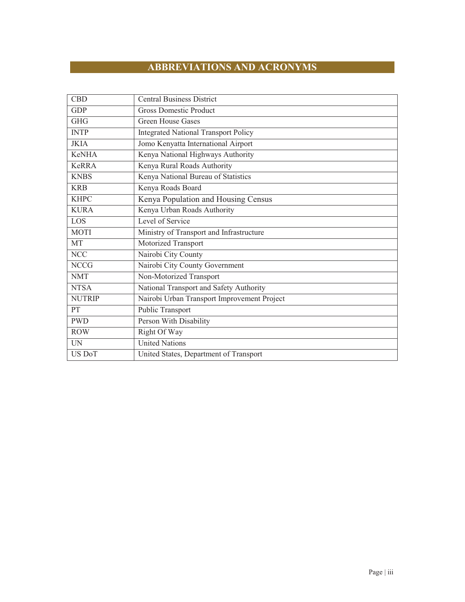# **ABBREVIATIONS AND ACRONYMS**

| <b>CBD</b>    | <b>Central Business District</b>            |
|---------------|---------------------------------------------|
| <b>GDP</b>    | <b>Gross Domestic Product</b>               |
| <b>GHG</b>    | <b>Green House Gases</b>                    |
| <b>INTP</b>   | <b>Integrated National Transport Policy</b> |
| <b>JKIA</b>   | Jomo Kenyatta International Airport         |
| <b>KeNHA</b>  | Kenya National Highways Authority           |
| KeRRA         | Kenya Rural Roads Authority                 |
| <b>KNBS</b>   | Kenya National Bureau of Statistics         |
| <b>KRB</b>    | Kenya Roads Board                           |
| <b>KHPC</b>   | Kenya Population and Housing Census         |
| <b>KURA</b>   | Kenya Urban Roads Authority                 |
| LOS           | Level of Service                            |
| <b>MOTI</b>   | Ministry of Transport and Infrastructure    |
| MT            | Motorized Transport                         |
| <b>NCC</b>    | Nairobi City County                         |
| <b>NCCG</b>   | Nairobi City County Government              |
| <b>NMT</b>    | Non-Motorized Transport                     |
| <b>NTSA</b>   | National Transport and Safety Authority     |
| <b>NUTRIP</b> | Nairobi Urban Transport Improvement Project |
| PT            | Public Transport                            |
| <b>PWD</b>    | Person With Disability                      |
| <b>ROW</b>    | Right Of Way                                |
| <b>UN</b>     | <b>United Nations</b>                       |
| US DoT        | United States, Department of Transport      |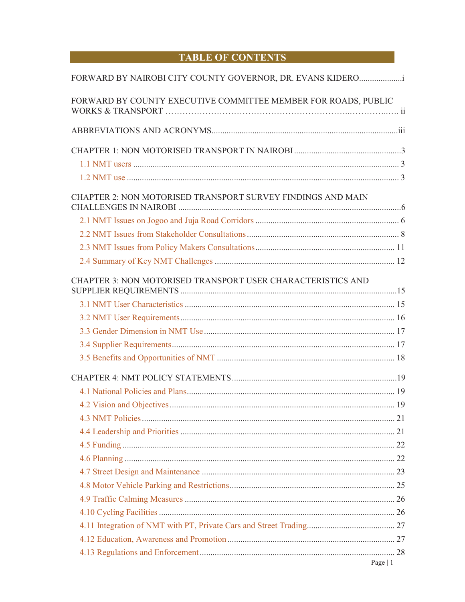# **TABLE OF CONTENTS**

| FORWARD BY NAIROBI CITY COUNTY GOVERNOR, DR. EVANS KIDERO      |  |
|----------------------------------------------------------------|--|
| FORWARD BY COUNTY EXECUTIVE COMMITTEE MEMBER FOR ROADS, PUBLIC |  |
|                                                                |  |
|                                                                |  |
|                                                                |  |
|                                                                |  |
| CHAPTER 2: NON MOTORISED TRANSPORT SURVEY FINDINGS AND MAIN    |  |
|                                                                |  |
|                                                                |  |
|                                                                |  |
|                                                                |  |
|                                                                |  |
| CHAPTER 3: NON MOTORISED TRANSPORT USER CHARACTERISTICS AND    |  |
|                                                                |  |
|                                                                |  |
|                                                                |  |
|                                                                |  |
|                                                                |  |
|                                                                |  |
|                                                                |  |
|                                                                |  |
|                                                                |  |
|                                                                |  |
|                                                                |  |
|                                                                |  |
|                                                                |  |
|                                                                |  |
|                                                                |  |
|                                                                |  |
|                                                                |  |
|                                                                |  |
|                                                                |  |
|                                                                |  |
|                                                                |  |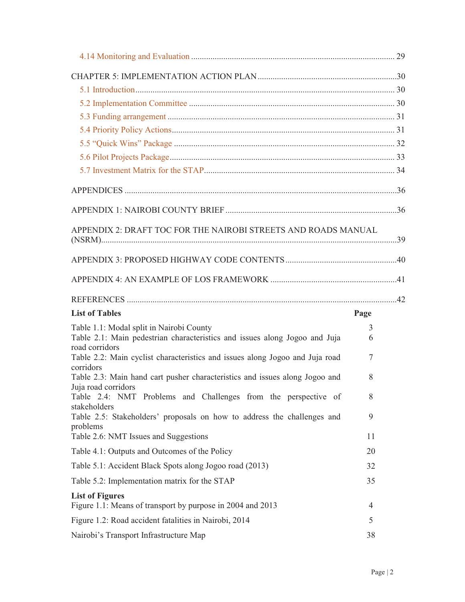| APPENDIX 2: DRAFT TOC FOR THE NAIROBI STREETS AND ROADS MANUAL                                 |      |  |
|------------------------------------------------------------------------------------------------|------|--|
|                                                                                                |      |  |
|                                                                                                |      |  |
|                                                                                                |      |  |
|                                                                                                |      |  |
| <b>List of Tables</b>                                                                          | Page |  |
| Table 1.1: Modal split in Nairobi County                                                       | 3    |  |
| Table 2.1: Main pedestrian characteristics and issues along Jogoo and Juja                     | 6    |  |
| road corridors<br>Table 2.2: Main cyclist characteristics and issues along Jogoo and Juja road | 7    |  |
| corridors<br>Table 2.3: Main hand cart pusher characteristics and issues along Jogoo and       | 8    |  |
| Juja road corridors<br>Table 2.4: NMT Problems and Challenges from the perspective of          | 8    |  |
| stakeholders<br>Table 2.5: Stakeholders' proposals on how to address the challenges and        | 9    |  |
| problems<br>Table 2.6: NMT Issues and Suggestions                                              | 11   |  |
| Table 4.1: Outputs and Outcomes of the Policy                                                  | 20   |  |
| Table 5.1: Accident Black Spots along Jogoo road (2013)                                        | 32   |  |
| Table 5.2: Implementation matrix for the STAP                                                  | 35   |  |
| <b>List of Figures</b>                                                                         |      |  |
| Figure 1.1: Means of transport by purpose in 2004 and 2013                                     | 4    |  |
| Figure 1.2: Road accident fatalities in Nairobi, 2014                                          | 5    |  |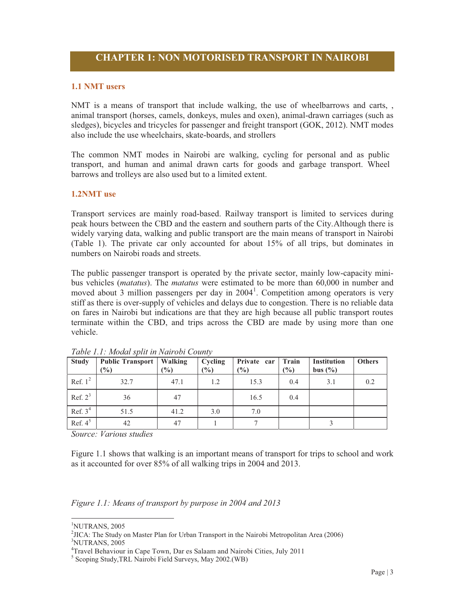#### **1.1 NMT users**

NMT is a means of transport that include walking, the use of wheelbarrows and carts, , animal transport (horses, camels, donkeys, mules and oxen), animal-drawn carriages (such as sledges), bicycles and tricycles for passenger and freight transport (GOK, 2012). NMT modes also include the use wheelchairs, skate-boards, and strollers

The common NMT modes in Nairobi are walking, cycling for personal and as public transport, and human and animal drawn carts for goods and garbage transport. Wheel barrows and trolleys are also used but to a limited extent.

# **1.2NMT use**

Transport services are mainly road-based. Railway transport is limited to services during peak hours between the CBD and the eastern and southern parts of the City.Although there is widely varying data, walking and public transport are the main means of transport in Nairobi (Table 1). The private car only accounted for about 15% of all trips, but dominates in numbers on Nairobi roads and streets.

The public passenger transport is operated by the private sector, mainly low-capacity minibus vehicles (*matatus*). The *matatus* were estimated to be more than 60,000 in number and moved about 3 million passengers per day in  $2004<sup>1</sup>$ . Competition among operators is very stiff as there is over-supply of vehicles and delays due to congestion. There is no reliable data on fares in Nairobi but indications are that they are high because all public transport routes terminate within the CBD, and trips across the CBD are made by using more than one vehicle.

| <b>Study</b> | <b>Public Transport</b>   Walking<br>$(\%)$ | $\frac{0}{0}$ | Cycling<br>$(\%)$ | Private car<br>$\frac{6}{2}$ | Train<br>$\frac{6}{6}$ | <b>Institution</b><br>bus $(\% )$ | <b>Others</b> |
|--------------|---------------------------------------------|---------------|-------------------|------------------------------|------------------------|-----------------------------------|---------------|
| Ref. $1^2$   | 32.7                                        | 47.1          | 1.2               | 15.3                         | 0.4                    | 3.1                               | 0.2           |
| Ref. $2^3$   | 36                                          | 47            |                   | 16.5                         | 0.4                    |                                   |               |
| Ref. $34$    | 51.5                                        | 41.2          | 3.0               | 7.0                          |                        |                                   |               |
| Ref. $4^5$   | 42                                          | 47            |                   |                              |                        |                                   |               |

*Table 1.1: Modal split in Nairobi County*

*Source: Various studies* 

Figure 1.1 shows that walking is an important means of transport for trips to school and work as it accounted for over 85% of all walking trips in 2004 and 2013.

*Figure 1.1: Means of transport by purpose in 2004 and 2013* 

-

<sup>1</sup> NUTRANS, 2005

<sup>&</sup>lt;sup>2</sup>JICA: The Study on Master Plan for Urban Transport in the Nairobi Metropolitan Area (2006)<br><sup>3</sup>NIJITP ANS 2005 NUTRANS, 2005

<sup>4</sup> Travel Behaviour in Cape Town, Dar es Salaam and Nairobi Cities, July 2011

<sup>5</sup> Scoping Study,TRL Nairobi Field Surveys, May 2002.(WB)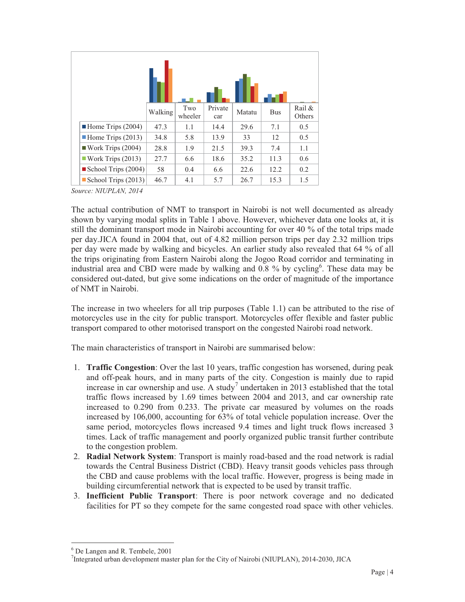|                                    | Walking | Two<br>wheeler | Private<br>car | Matatu | <b>Bus</b> | Rail &<br>Others |
|------------------------------------|---------|----------------|----------------|--------|------------|------------------|
| $\blacksquare$ Home Trips (2004)   | 47.3    | 1.1            | 14.4           | 29.6   | 7.1        | 0.5              |
| $\blacksquare$ Home Trips (2013)   | 34.8    | 5.8            | 13.9           | 33     | 12         | 0.5              |
| $\blacksquare$ Work Trips (2004)   | 28.8    | 1.9            | 21.5           | 39.3   | 7.4        | 1.1              |
| Work Trips $(2013)$                | 27.7    | 6.6            | 18.6           | 35.2   | 11.3       | 0.6              |
| School Trips $(2004)$              | 58      | 0.4            | 6.6            | 22.6   | 12.2       | 0.2              |
| $\blacksquare$ School Trips (2013) | 46.7    | 4.1            | 5.7            | 26.7   | 15.3       | 1.5              |

*Source: NIUPLAN, 2014* 

The actual contribution of NMT to transport in Nairobi is not well documented as already shown by varying modal splits in Table 1 above. However, whichever data one looks at, it is still the dominant transport mode in Nairobi accounting for over 40 % of the total trips made per day.JICA found in 2004 that, out of 4.82 million person trips per day 2.32 million trips per day were made by walking and bicycles. An earlier study also revealed that 64 % of all the trips originating from Eastern Nairobi along the Jogoo Road corridor and terminating in industrial area and CBD were made by walking and 0.8 % by cycling<sup>6</sup>. These data may be considered out-dated, but give some indications on the order of magnitude of the importance of NMT in Nairobi.

The increase in two wheelers for all trip purposes (Table 1.1) can be attributed to the rise of motorcycles use in the city for public transport. Motorcycles offer flexible and faster public transport compared to other motorised transport on the congested Nairobi road network.

The main characteristics of transport in Nairobi are summarised below:

- 1. **Traffic Congestion**: Over the last 10 years, traffic congestion has worsened, during peak and off-peak hours, and in many parts of the city. Congestion is mainly due to rapid increase in car ownership and use. A study<sup>7</sup> undertaken in 2013 established that the total traffic flows increased by 1.69 times between 2004 and 2013, and car ownership rate increased to 0.290 from 0.233. The private car measured by volumes on the roads increased by 106,000, accounting for 63% of total vehicle population increase. Over the same period, motorcycles flows increased 9.4 times and light truck flows increased 3 times. Lack of traffic management and poorly organized public transit further contribute to the congestion problem.
- 2. **Radial Network System**: Transport is mainly road-based and the road network is radial towards the Central Business District (CBD). Heavy transit goods vehicles pass through the CBD and cause problems with the local traffic. However, progress is being made in building circumferential network that is expected to be used by transit traffic.
- 3. **Inefficient Public Transport**: There is poor network coverage and no dedicated facilities for PT so they compete for the same congested road space with other vehicles.

<sup>-</sup>6 De Langen and R. Tembele, 2001

<sup>&</sup>lt;sup>7</sup>Integrated urban development master plan for the City of Nairobi (NIUPLAN), 2014-2030, JICA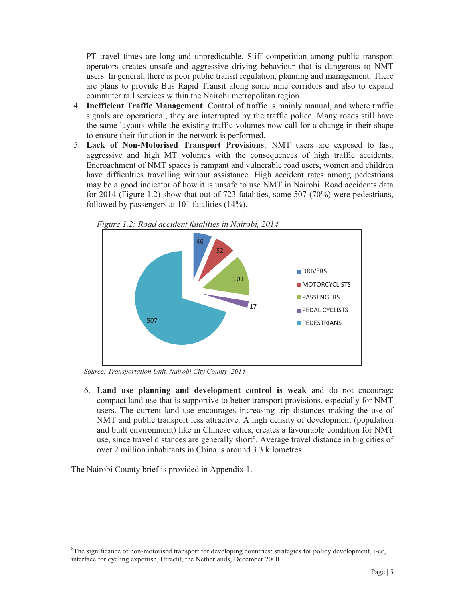PT travel times are long and unpredictable. Stiff competition among public transport operators creates unsafe and aggressive driving behaviour that is dangerous to NMT users. In general, there is poor public transit regulation, planning and management. There are plans to provide Bus Rapid Transit along some nine corridors and also to expand commuter rail services within the Nairobi metropolitan region.

- 4. **Inefficient Traffic Management**: Control of traffic is mainly manual, and where traffic signals are operational, they are interrupted by the traffic police. Many roads still have the same layouts while the existing traffic volumes now call for a change in their shape to ensure their function in the network is performed.
- 5. **Lack of Non-Motorised Transport Provisions**: NMT users are exposed to fast, aggressive and high MT volumes with the consequences of high traffic accidents. Encroachment of NMT spaces is rampant and vulnerable road users, women and children have difficulties travelling without assistance. High accident rates among pedestrians may be a good indicator of how it is unsafe to use NMT in Nairobi. Road accidents data for 2014 (Figure 1.2) show that out of 723 fatalities, some 507 (70%) were pedestrians, followed by passengers at 101 fatalities (14%).



*Figure 1.2: Road accident fatalities in Nairobi, 2014* 

*Source: Transportation Unit, Nairobi City County, 2014* 

6. **Land use planning and development control is weak** and do not encourage compact land use that is supportive to better transport provisions, especially for NMT users. The current land use encourages increasing trip distances making the use of NMT and public transport less attractive. A high density of development (population and built environment) like in Chinese cities, creates a favourable condition for NMT use, since travel distances are generally short<sup>8</sup>. Average travel distance in big cities of over 2 million inhabitants in China is around 3.3 kilometres.

The Nairobi County brief is provided in Appendix 1.

-

 ${}^{8}$ The significance of non-motorised transport for developing countries: strategies for policy development, i-ce, interface for cycling expertise, Utrecht, the Netherlands, December 2000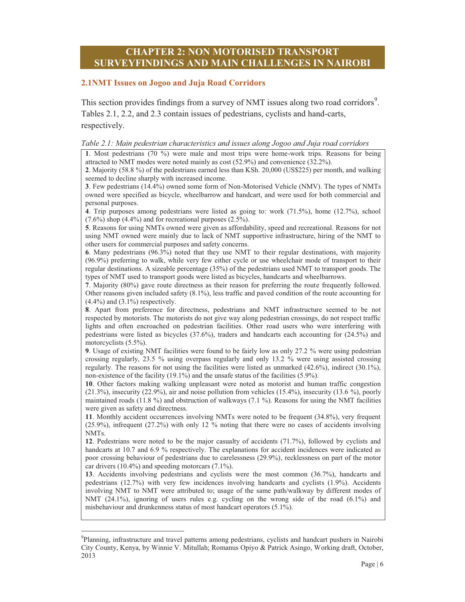# **CHAPTER 2: NON MOTORISED TRANSPORT SURVEYFINDINGS AND MAIN CHALLENGES IN NAIROBI**

#### **2.1NMT Issues on Jogoo and Juja Road Corridors**

This section provides findings from a survey of NMT issues along two road corridors<sup>9</sup>. Tables 2.1, 2.2, and 2.3 contain issues of pedestrians, cyclists and hand-carts, respectively.

#### *Table 2.1: Main pedestrian characteristics and issues along Jogoo and Juja road corridors*

**1**. Most pedestrians (70 %) were male and most trips were home-work trips. Reasons for being attracted to NMT modes were noted mainly as cost (52.9%) and convenience (32.2%). **2**. Majority (58.8 %) of the pedestrians earned less than KSh. 20,000 (US\$225) per month, and walking seemed to decline sharply with increased income.

**3**. Few pedestrians (14.4%) owned some form of Non-Motorised Vehicle (NMV). The types of NMTs owned were specified as bicycle, wheelbarrow and handcart, and were used for both commercial and personal purposes.

**4**. Trip purposes among pedestrians were listed as going to: work (71.5%), home (12.7%), school  $(7.6\%)$  shop  $(4.4\%)$  and for recreational purposes  $(2.5\%)$ .

**5**. Reasons for using NMTs owned were given as affordability, speed and recreational. Reasons for not using NMT owned were mainly due to lack of NMT supportive infrastructure, hiring of the NMT to other users for commercial purposes and safety concerns.

**6**. Many pedestrians (96.3%) noted that they use NMT to their regular destinations, with majority (96.9%) preferring to walk, while very few either cycle or use wheelchair mode of transport to their regular destinations. A sizeable percentage (35%) of the pedestrians used NMT to transport goods. The types of NMT used to transport goods were listed as bicycles, handcarts and wheelbarrows.

**7**. Majority (80%) gave route directness as their reason for preferring the route frequently followed. Other reasons given included safety (8.1%), less traffic and paved condition of the route accounting for  $(4.4\%)$  and  $(3.1\%)$  respectively.

**8**. Apart from preference for directness, pedestrians and NMT infrastructure seemed to be not respected by motorists. The motorists do not give way along pedestrian crossings, do not respect traffic lights and often encroached on pedestrian facilities. Other road users who were interfering with pedestrians were listed as bicycles (37.6%), traders and handcarts each accounting for (24.5%) and motorcyclists (5.5%).

**9**. Usage of existing NMT facilities were found to be fairly low as only 27.2 % were using pedestrian crossing regularly, 23.5 % using overpass regularly and only 13.2 % were using assisted crossing regularly. The reasons for not using the facilities were listed as unmarked (42.6%), indirect (30.1%), non-existence of the facility (19.1%) and the unsafe status of the facilities (5.9%).

**10**. Other factors making walking unpleasant were noted as motorist and human traffic congestion (21.3%), insecurity (22.9%), air and noise pollution from vehicles (15.4%), insecurity (13.6 %), poorly maintained roads (11.8 %) and obstruction of walkways (7.1 %). Reasons for using the NMT facilities were given as safety and directness.

**11**. Monthly accident occurrences involving NMTs were noted to be frequent (34.8%), very frequent (25.9%), infrequent (27.2%) with only 12 % noting that there were no cases of accidents involving NMTs.

**12**. Pedestrians were noted to be the major casualty of accidents (71.7%), followed by cyclists and handcarts at 10.7 and 6.9 % respectively. The explanations for accident incidences were indicated as poor crossing behaviour of pedestrians due to carelessness (29.9%), recklessness on part of the motor car drivers (10.4%) and speeding motorcars (7.1%).

**13**. Accidents involving pedestrians and cyclists were the most common (36.7%), handcarts and pedestrians (12.7%) with very few incidences involving handcarts and cyclists (1.9%). Accidents involving NMT to NMT were attributed to; usage of the same path/walkway by different modes of NMT (24.1%), ignoring of users rules e.g. cycling on the wrong side of the road (6.1%) and misbehaviour and drunkenness status of most handcart operators (5.1%).

 $\overline{a}$ 

<sup>&</sup>lt;sup>9</sup>Planning, infrastructure and travel patterns among pedestrians, cyclists and handcart pushers in Nairobi City County, Kenya, by Winnie V. Mitullah; Romanus Opiyo & Patrick Asingo, Working draft, October, 2013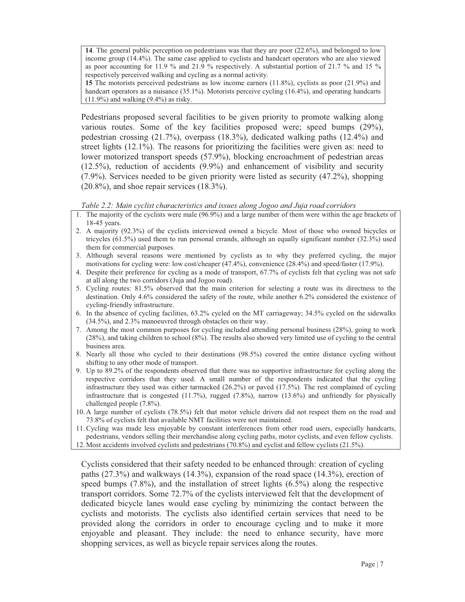**14**. The general public perception on pedestrians was that they are poor (22.6%), and belonged to low income group (14.4%). The same case applied to cyclists and handcart operators who are also viewed as poor accounting for 11.9 % and 21.9 % respectively. A substantial portion of 21.7 % and 15 % respectively perceived walking and cycling as a normal activity.

**15** The motorists perceived pedestrians as low income earners (11.8%), cyclists as poor (21.9%) and handcart operators as a nuisance (35.1%). Motorists perceive cycling (16.4%), and operating handcarts  $(11.9\%)$  and walking  $(9.4\%)$  as risky.

Pedestrians proposed several facilities to be given priority to promote walking along various routes. Some of the key facilities proposed were; speed bumps (29%), pedestrian crossing (21.7%), overpass (18.3%), dedicated walking paths (12.4%) and street lights (12.1%). The reasons for prioritizing the facilities were given as: need to lower motorized transport speeds (57.9%), blocking encroachment of pedestrian areas  $(12.5\%)$ , reduction of accidents  $(9.9\%)$  and enhancement of visibility and security (7.9%). Services needed to be given priority were listed as security (47.2%), shopping (20.8%), and shoe repair services (18.3%).

#### *Table 2.2: Main cyclist characteristics and issues along Jogoo and Juja road corridors*

- 1. The majority of the cyclists were male (96.9%) and a large number of them were within the age brackets of 18-45 years.
- 2. A majority (92.3%) of the cyclists interviewed owned a bicycle. Most of those who owned bicycles or tricycles (61.5%) used them to run personal errands, although an equally significant number (32.3%) used them for commercial purposes.
- 3. Although several reasons were mentioned by cyclists as to why they preferred cycling, the major motivations for cycling were: low cost/cheaper (47.4%), convenience (28.4%) and speed/faster (17.9%).
- 4. Despite their preference for cycling as a mode of transport, 67.7% of cyclists felt that cycling was not safe at all along the two corridors (Juja and Jogoo road).
- 5. Cycling routes: 81.5% observed that the main criterion for selecting a route was its directness to the destination. Only 4.6% considered the safety of the route, while another 6.2% considered the existence of cycling-friendly infrastructure.
- 6. In the absence of cycling facilities, 63.2% cycled on the MT carriageway; 34.5% cycled on the sidewalks (34.5%), and 2.3% manoeuvred through obstacles on their way.
- 7. Among the most common purposes for cycling included attending personal business (28%), going to work (28%), and taking children to school (8%). The results also showed very limited use of cycling to the central business area.
- 8. Nearly all those who cycled to their destinations (98.5%) covered the entire distance cycling without shifting to any other mode of transport.
- 9. Up to 89.2% of the respondents observed that there was no supportive infrastructure for cycling along the respective corridors that they used. A small number of the respondents indicated that the cycling infrastructure they used was either tarmacked (26.2%) or paved (17.5%). The rest complained of cycling infrastructure that is congested  $(11.7\%)$ , rugged  $(7.8\%)$ , narrow  $(13.6\%)$  and unfriendly for physically challenged people (7.8%).
- 10. A large number of cyclists (78.5%) felt that motor vehicle drivers did not respect them on the road and 73.8% of cyclists felt that available NMT facilities were not maintained.

11.Cycling was made less enjoyable by constant interferences from other road users, especially handcarts, pedestrians, vendors selling their merchandise along cycling paths, motor cyclists, and even fellow cyclists. 12. Most accidents involved cyclists and pedestrians (70.8%) and cyclist and fellow cyclists (21.5%).

Cyclists considered that their safety needed to be enhanced through: creation of cycling paths  $(27.3\%)$  and walkways  $(14.3\%)$ , expansion of the road space  $(14.3\%)$ , erection of speed bumps (7.8%), and the installation of street lights (6.5%) along the respective transport corridors. Some 72.7% of the cyclists interviewed felt that the development of dedicated bicycle lanes would ease cycling by minimizing the contact between the cyclists and motorists. The cyclists also identified certain services that need to be provided along the corridors in order to encourage cycling and to make it more enjoyable and pleasant. They include: the need to enhance security, have more shopping services, as well as bicycle repair services along the routes.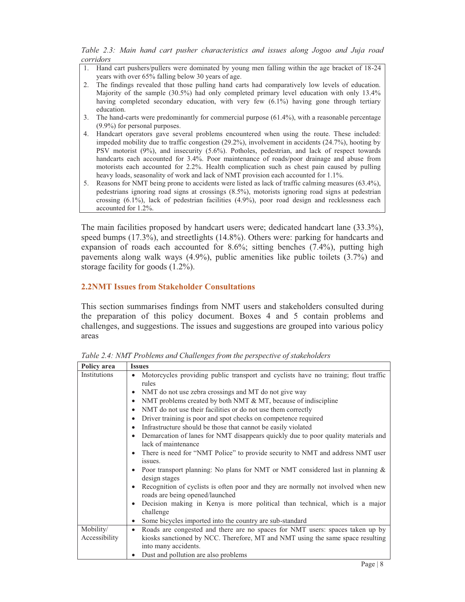*Table 2.3: Main hand cart pusher characteristics and issues along Jogoo and Juja road corridors* 

- 1. Hand cart pushers/pullers were dominated by young men falling within the age bracket of 18-24 years with over 65% falling below 30 years of age.
- 2. The findings revealed that those pulling hand carts had comparatively low levels of education. Majority of the sample (30.5%) had only completed primary level education with only 13.4% having completed secondary education, with very few (6.1%) having gone through tertiary education.
- 3. The hand-carts were predominantly for commercial purpose (61.4%), with a reasonable percentage (9.9%) for personal purposes.
- 4. Handcart operators gave several problems encountered when using the route. These included: impeded mobility due to traffic congestion (29.2%), involvement in accidents (24.7%), hooting by PSV motorist (9%), and insecurity (5.6%). Potholes, pedestrian, and lack of respect towards handcarts each accounted for 3.4%. Poor maintenance of roads/poor drainage and abuse from motorists each accounted for 2.2%. Health complication such as chest pain caused by pulling heavy loads, seasonality of work and lack of NMT provision each accounted for 1.1%.
- 5. Reasons for NMT being prone to accidents were listed as lack of traffic calming measures (63.4%), pedestrians ignoring road signs at crossings (8.5%), motorists ignoring road signs at pedestrian crossing (6.1%), lack of pedestrian facilities (4.9%), poor road design and recklessness each accounted for 1.2%.

The main facilities proposed by handcart users were; dedicated handcart lane (33.3%), speed bumps (17.3%), and streetlights (14.8%). Others were: parking for handcarts and expansion of roads each accounted for 8.6%; sitting benches (7.4%), putting high pavements along walk ways (4.9%), public amenities like public toilets (3.7%) and storage facility for goods (1.2%).

# **2.2NMT Issues from Stakeholder Consultations**

This section summarises findings from NMT users and stakeholders consulted during the preparation of this policy document. Boxes 4 and 5 contain problems and challenges, and suggestions. The issues and suggestions are grouped into various policy areas

| Policy area   | <b>Issues</b>                                                                                                                     |
|---------------|-----------------------------------------------------------------------------------------------------------------------------------|
| Institutions  | Motorcycles providing public transport and cyclists have no training; flout traffic<br>$\bullet$<br>rules                         |
|               | NMT do not use zebra crossings and MT do not give way<br>$\bullet$                                                                |
|               | NMT problems created by both NMT & MT, because of indiscipline<br>$\bullet$                                                       |
|               | NMT do not use their facilities or do not use them correctly<br>$\bullet$                                                         |
|               | Driver training is poor and spot checks on competence required<br>$\bullet$                                                       |
|               | Infrastructure should be those that cannot be easily violated<br>$\bullet$                                                        |
|               | Demarcation of lanes for NMT disappears quickly due to poor quality materials and<br>$\bullet$<br>lack of maintenance             |
|               | There is need for "NMT Police" to provide security to NMT and address NMT user<br>$\bullet$<br>issues.                            |
|               | Poor transport planning: No plans for NMT or NMT considered last in planning $\&$<br>$\bullet$<br>design stages                   |
|               | Recognition of cyclists is often poor and they are normally not involved when new<br>$\bullet$<br>roads are being opened/launched |
|               | Decision making in Kenya is more political than technical, which is a major<br>$\bullet$<br>challenge                             |
|               | Some bicycles imported into the country are sub-standard<br>$\bullet$                                                             |
| Mobility/     | Roads are congested and there are no spaces for NMT users: spaces taken up by<br>$\bullet$                                        |
| Accessibility | kiosks sanctioned by NCC. Therefore, MT and NMT using the same space resulting                                                    |
|               | into many accidents.                                                                                                              |
|               | Dust and pollution are also problems                                                                                              |

*Table 2.4: NMT Problems and Challenges from the perspective of stakeholders*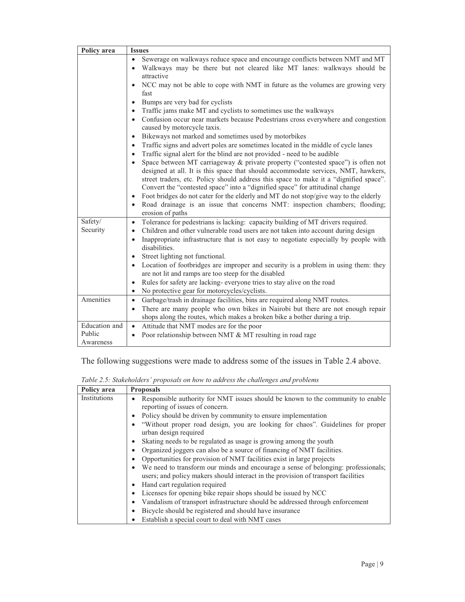| Policy area<br><b>Issues</b>                                                                                                                                             |  |
|--------------------------------------------------------------------------------------------------------------------------------------------------------------------------|--|
| Sewerage on walkways reduce space and encourage conflicts between NMT and MT                                                                                             |  |
| Walkways may be there but not cleared like MT lanes: walkways should be<br>$\bullet$                                                                                     |  |
| attractive                                                                                                                                                               |  |
| NCC may not be able to cope with NMT in future as the volumes are growing very<br>$\bullet$                                                                              |  |
| fast                                                                                                                                                                     |  |
| Bumps are very bad for cyclists<br>$\bullet$                                                                                                                             |  |
| Traffic jams make MT and cyclists to sometimes use the walkways<br>$\bullet$                                                                                             |  |
| Confusion occur near markets because Pedestrians cross everywhere and congestion<br>$\bullet$                                                                            |  |
| caused by motorcycle taxis.                                                                                                                                              |  |
| Bikeways not marked and sometimes used by motorbikes<br>$\bullet$                                                                                                        |  |
| Traffic signs and advert poles are sometimes located in the middle of cycle lanes<br>$\bullet$                                                                           |  |
| Traffic signal alert for the blind are not provided - need to be audible<br>$\bullet$                                                                                    |  |
| Space between MT carriageway $\&$ private property ("contested space") is often not<br>designed at all. It is this space that should accommodate services, NMT, hawkers, |  |
| street traders, etc. Policy should address this space to make it a "dignified space".                                                                                    |  |
| Convert the "contested space" into a "dignified space" for attitudinal change                                                                                            |  |
| Foot bridges do not cater for the elderly and MT do not stop/give way to the elderly<br>$\bullet$                                                                        |  |
| Road drainage is an issue that concerns NMT: inspection chambers; flooding;<br>$\bullet$                                                                                 |  |
| erosion of paths                                                                                                                                                         |  |
| Safety/<br>Tolerance for pedestrians is lacking: capacity building of MT drivers required.<br>$\bullet$                                                                  |  |
| Security<br>Children and other vulnerable road users are not taken into account during design<br>٠                                                                       |  |
| Inappropriate infrastructure that is not easy to negotiate especially by people with<br>$\bullet$                                                                        |  |
| disabilities.                                                                                                                                                            |  |
| Street lighting not functional.<br>$\bullet$                                                                                                                             |  |
| Location of footbridges are improper and security is a problem in using them: they<br>$\bullet$                                                                          |  |
| are not lit and ramps are too steep for the disabled                                                                                                                     |  |
| Rules for safety are lacking-everyone tries to stay alive on the road<br>$\bullet$                                                                                       |  |
| No protective gear for motorcycles/cyclists.<br>$\bullet$                                                                                                                |  |
| Amenities<br>Garbage/trash in drainage facilities, bins are required along NMT routes.<br>$\bullet$                                                                      |  |
| There are many people who own bikes in Nairobi but there are not enough repair<br>$\bullet$                                                                              |  |
| shops along the routes, which makes a broken bike a bother during a trip.<br>Education and                                                                               |  |
| Attitude that NMT modes are for the poor<br>$\bullet$<br>Public                                                                                                          |  |
| Poor relationship between NMT & MT resulting in road rage<br>$\bullet$<br>Awareness                                                                                      |  |

The following suggestions were made to address some of the issues in Table 2.4 above.

| Table 2.5: Stakeholders' proposals on how to address the challenges and problems |
|----------------------------------------------------------------------------------|
|----------------------------------------------------------------------------------|

| Policy area  | <b>Proposals</b>                                                                                                                                                                    |
|--------------|-------------------------------------------------------------------------------------------------------------------------------------------------------------------------------------|
| Institutions | Responsible authority for NMT issues should be known to the community to enable<br>reporting of issues of concern.                                                                  |
|              | Policy should be driven by community to ensure implementation<br>$\bullet$                                                                                                          |
|              | "Without proper road design, you are looking for chaos". Guidelines for proper<br>$\bullet$<br>urban design required                                                                |
|              | Skating needs to be regulated as usage is growing among the youth<br>٠                                                                                                              |
|              | Organized joggers can also be a source of financing of NMT facilities.<br>٠                                                                                                         |
|              | Opportunities for provision of NMT facilities exist in large projects                                                                                                               |
|              | We need to transform our minds and encourage a sense of belonging: professionals;<br>$\bullet$<br>users; and policy makers should interact in the provision of transport facilities |
|              | Hand cart regulation required<br>$\bullet$                                                                                                                                          |
|              | Licenses for opening bike repair shops should be issued by NCC<br>$\bullet$                                                                                                         |
|              | Vandalism of transport infrastructure should be addressed through enforcement<br>٠                                                                                                  |
|              | Bicycle should be registered and should have insurance<br>٠                                                                                                                         |
|              | Establish a special court to deal with NMT cases                                                                                                                                    |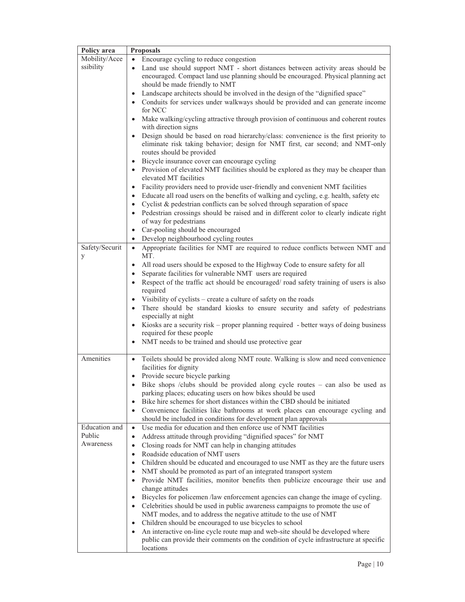| Policy area    | <b>Proposals</b>                                                                                                 |
|----------------|------------------------------------------------------------------------------------------------------------------|
| Mobility/Acce  | Encourage cycling to reduce congestion                                                                           |
| ssibility      | Land use should support NMT - short distances between activity areas should be<br>$\bullet$                      |
|                | encouraged. Compact land use planning should be encouraged. Physical planning act                                |
|                | should be made friendly to NMT                                                                                   |
|                | Landscape architects should be involved in the design of the "dignified space"<br>$\bullet$                      |
|                | Conduits for services under walkways should be provided and can generate income<br>$\bullet$                     |
|                | for NCC                                                                                                          |
|                | Make walking/cycling attractive through provision of continuous and coherent routes                              |
|                | with direction signs                                                                                             |
|                | Design should be based on road hierarchy/class: convenience is the first priority to<br>$\bullet$                |
|                | eliminate risk taking behavior; design for NMT first, car second; and NMT-only                                   |
|                | routes should be provided                                                                                        |
|                | Bicycle insurance cover can encourage cycling<br>$\bullet$                                                       |
|                | Provision of elevated NMT facilities should be explored as they may be cheaper than<br>$\bullet$                 |
|                | elevated MT facilities                                                                                           |
|                | Facility providers need to provide user-friendly and convenient NMT facilities<br>$\bullet$                      |
|                | Educate all road users on the benefits of walking and cycling, e.g. health, safety etc<br>$\bullet$              |
|                | Cyclist & pedestrian conflicts can be solved through separation of space<br>$\bullet$                            |
|                | Pedestrian crossings should be raised and in different color to clearly indicate right<br>$\bullet$              |
|                | of way for pedestrians                                                                                           |
|                | Car-pooling should be encouraged<br>$\bullet$                                                                    |
|                | Develop neighbourhood cycling routes<br>$\bullet$                                                                |
| Safety/Securit | Appropriate facilities for NMT are required to reduce conflicts between NMT and<br>$\bullet$                     |
| y              | MT.                                                                                                              |
|                | All road users should be exposed to the Highway Code to ensure safety for all<br>$\bullet$                       |
|                | Separate facilities for vulnerable NMT users are required<br>$\bullet$                                           |
|                | Respect of the traffic act should be encouraged/ road safety training of users is also<br>$\bullet$              |
|                | required                                                                                                         |
|                | Visibility of cyclists - create a culture of safety on the roads                                                 |
|                | There should be standard kiosks to ensure security and safety of pedestrians<br>$\bullet$<br>especially at night |
|                | Kiosks are a security risk – proper planning required - better ways of doing business<br>$\bullet$               |
|                | required for these people                                                                                        |
|                | NMT needs to be trained and should use protective gear                                                           |
|                |                                                                                                                  |
| Amenities      | Toilets should be provided along NMT route. Walking is slow and need convenience<br>$\bullet$                    |
|                | facilities for dignity                                                                                           |
|                | Provide secure bicycle parking<br>$\bullet$                                                                      |
|                | Bike shops /clubs should be provided along cycle routes - can also be used as                                    |
|                | parking places; educating users on how bikes should be used                                                      |
|                | Bike hire schemes for short distances within the CBD should be initiated                                         |
|                | Convenience facilities like bathrooms at work places can encourage cycling and                                   |
|                | should be included in conditions for development plan approvals                                                  |
| Education and  | Use media for education and then enforce use of NMT facilities<br>$\bullet$                                      |
| Public         | Address attitude through providing "dignified spaces" for NMT<br>$\bullet$                                       |
| Awareness      | Closing roads for NMT can help in changing attitudes<br>$\bullet$                                                |
|                | Roadside education of NMT users<br>$\bullet$                                                                     |
|                | Children should be educated and encouraged to use NMT as they are the future users<br>$\bullet$                  |
|                | NMT should be promoted as part of an integrated transport system<br>$\bullet$                                    |
|                | Provide NMT facilities, monitor benefits then publicize encourage their use and                                  |
|                | change attitudes                                                                                                 |
|                | Bicycles for policemen /law enforcement agencies can change the image of cycling.                                |
|                | Celebrities should be used in public awareness campaigns to promote the use of                                   |
|                | NMT modes, and to address the negative attitude to the use of NMT                                                |
|                | Children should be encouraged to use bicycles to school<br>$\bullet$                                             |
|                | An interactive on-line cycle route map and web-site should be developed where<br>$\bullet$                       |
|                | public can provide their comments on the condition of cycle infrastructure at specific                           |
|                | locations                                                                                                        |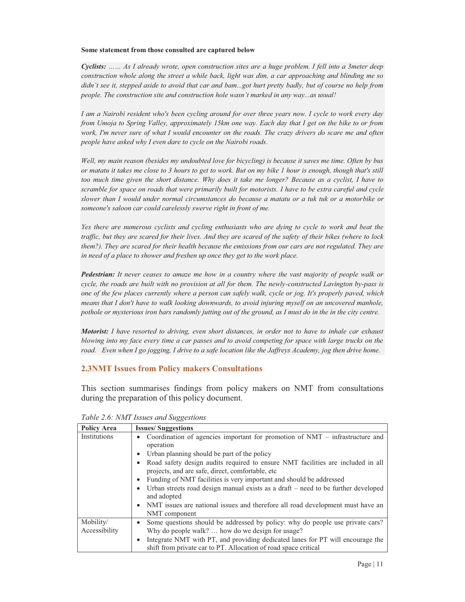#### **Some statement from those consulted are captured below**

*Cyclists: …… As I already wrote, open construction sites are a huge problem. I fell into a 3meter deep construction whole along the street a while back, light was dim, a car approaching and blinding me so didn't see it, stepped aside to avoid that car and bam...got hurt pretty badly, but of course no help from people. The construction site and construction hole wasn't marked in any way...as usual!* 

*I am a Nairobi resident who's been cycling around for over three years now. I cycle to work every day from Umoja to Spring Valley, approximately 15km one way. Each day that I get on the bike to or from work, I'm never sure of what I would encounter on the roads. The crazy drivers do scare me and often people have asked why I even dare to cycle on the Nairobi roads.* 

*Well, my main reason (besides my undoubted love for bicycling) is because it saves me time. Often by bus or matatu it takes me close to 3 hours to get to work. But on my bike 1 hour is enough, though that's still too much time given the short distance. Why does it take me longer? Because as a cyclist, I have to scramble for space on roads that were primarily built for motorists. I have to be extra careful and cycle slower than I would under normal circumstances do because a matatu or a tuk tuk or a motorbike or someone's saloon car could carelessly swerve right in front of me.* 

*Yes there are numerous cyclists and cycling enthusiasts who are dying to cycle to work and beat the traffic, but they are scared for their lives. And they are scared of the safety of their bikes (where to lock them?). They are scared for their health because the emissions from our cars are not regulated. They are in need of a place to shower and freshen up once they get to the work place.* 

*Pedestrian: It never ceases to amaze me how in a country where the vast majority of people walk or cycle, the roads are built with no provision at all for them. The newly-constructed Lavington by-pass is one of the few places currently where a person can safely walk, cycle or jog. It's properly paved, which means that I don't have to walk looking downwards, to avoid injuring myself on an uncovered manhole, pothole or mysterious iron bars randomly jutting out of the ground, as I must do in the in the city centre.* 

*Motorist: I have resorted to driving, even short distances, in order not to have to inhale car exhaust blowing into my face every time a car passes and to avoid competing for space with large trucks on the road. Even when I go jogging, I drive to a safe location like the Jaffreys Academy, jog then drive home.* 

#### **2.3NMT Issues from Policy makers Consultations**

This section summarises findings from policy makers on NMT from consultations during the preparation of this policy document.

| <b>Policy Area</b> | <b>Issues/Suggestions</b>                                                                                                                         |
|--------------------|---------------------------------------------------------------------------------------------------------------------------------------------------|
| Institutions       | Coordination of agencies important for promotion of NMT - infrastructure and<br>٠                                                                 |
|                    | operation                                                                                                                                         |
|                    | Urban planning should be part of the policy<br>$\bullet$                                                                                          |
|                    | Road safety design audits required to ensure NMT facilities are included in all<br>$\bullet$<br>projects, and are safe, direct, comfortable, etc. |
|                    | Funding of NMT facilities is very important and should be addressed<br>$\bullet$                                                                  |
|                    | Urban streets road design manual exists as a draft $-$ need to be further developed<br>$\bullet$<br>and adopted                                   |
|                    | NMT issues are national issues and therefore all road development must have an<br>$\bullet$<br>NMT component                                      |
| Mobility/          | Some questions should be addressed by policy: why do people use private cars?<br>$\bullet$                                                        |
| Accessibility      | Why do people walk?  how do we design for usage?                                                                                                  |
|                    | Integrate NMT with PT, and providing dedicated lanes for PT will encourage the<br>$\bullet$                                                       |
|                    | shift from private car to PT. Allocation of road space critical                                                                                   |

*Table 2.6: NMT Issues and Suggestions*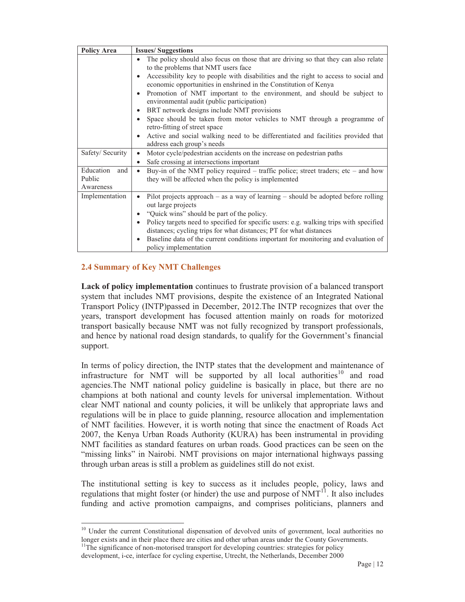| <b>Policy Area</b>                      | <b>Issues/Suggestions</b>                                                                                                                                                                                                                                                                                                                                                                                                                                                                                                                                                                                                                                                                  |
|-----------------------------------------|--------------------------------------------------------------------------------------------------------------------------------------------------------------------------------------------------------------------------------------------------------------------------------------------------------------------------------------------------------------------------------------------------------------------------------------------------------------------------------------------------------------------------------------------------------------------------------------------------------------------------------------------------------------------------------------------|
|                                         | The policy should also focus on those that are driving so that they can also relate<br>to the problems that NMT users face<br>Accessibility key to people with disabilities and the right to access to social and<br>economic opportunities in enshrined in the Constitution of Kenya<br>Promotion of NMT important to the environment, and should be subject to<br>environmental audit (public participation)<br>BRT network designs include NMT provisions<br>Space should be taken from motor vehicles to NMT through a programme of<br>retro-fitting of street space<br>Active and social walking need to be differentiated and facilities provided that<br>address each group's needs |
| Safety/ Security                        | Motor cycle/pedestrian accidents on the increase on pedestrian paths<br>$\bullet$<br>Safe crossing at intersections important<br>$\bullet$                                                                                                                                                                                                                                                                                                                                                                                                                                                                                                                                                 |
| Education<br>and<br>Public<br>Awareness | Buy-in of the NMT policy required – traffic police; street traders; etc – and how<br>they will be affected when the policy is implemented                                                                                                                                                                                                                                                                                                                                                                                                                                                                                                                                                  |
| Implementation                          | Pilot projects approach $-$ as a way of learning $-$ should be adopted before rolling<br>out large projects<br>"Quick wins" should be part of the policy.<br>Policy targets need to specified for specific users: e.g. walking trips with specified<br>distances; cycling trips for what distances; PT for what distances<br>Baseline data of the current conditions important for monitoring and evaluation of<br>policy implementation                                                                                                                                                                                                                                                   |

# **2.4 Summary of Key NMT Challenges**

 $\overline{a}$ 

**Lack of policy implementation** continues to frustrate provision of a balanced transport system that includes NMT provisions, despite the existence of an Integrated National Transport Policy (INTP)passed in December, 2012.The INTP recognizes that over the years, transport development has focused attention mainly on roads for motorized transport basically because NMT was not fully recognized by transport professionals, and hence by national road design standards, to qualify for the Government's financial support.

In terms of policy direction, the INTP states that the development and maintenance of infrastructure for NMT will be supported by all local authorities<sup>10</sup> and road agencies.The NMT national policy guideline is basically in place, but there are no champions at both national and county levels for universal implementation. Without clear NMT national and county policies, it will be unlikely that appropriate laws and regulations will be in place to guide planning, resource allocation and implementation of NMT facilities. However, it is worth noting that since the enactment of Roads Act 2007, the Kenya Urban Roads Authority (KURA) has been instrumental in providing NMT facilities as standard features on urban roads. Good practices can be seen on the "missing links" in Nairobi. NMT provisions on major international highways passing through urban areas is still a problem as guidelines still do not exist.

The institutional setting is key to success as it includes people, policy, laws and regulations that might foster (or hinder) the use and purpose of  $\text{NMT}^{11}$ . It also includes funding and active promotion campaigns, and comprises politicians, planners and

<sup>&</sup>lt;sup>10</sup> Under the current Constitutional dispensation of devolved units of government, local authorities no longer exists and in their place there are cities and other urban areas under the County Governments.<br><sup>11</sup>The significance of non-motorised transport for developing countries: strategies for policy

development, i-ce, interface for cycling expertise, Utrecht, the Netherlands, December 2000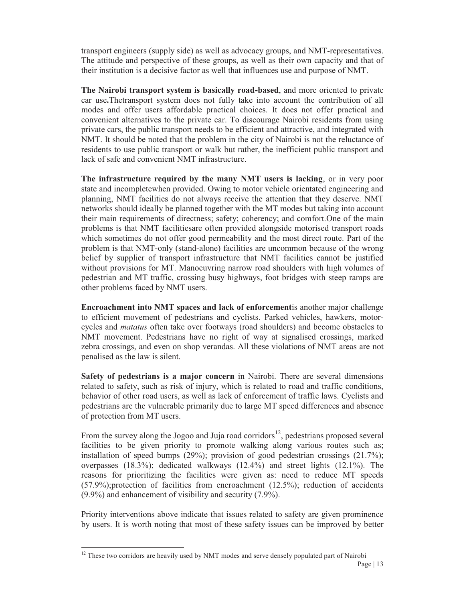transport engineers (supply side) as well as advocacy groups, and NMT-representatives. The attitude and perspective of these groups, as well as their own capacity and that of their institution is a decisive factor as well that influences use and purpose of NMT.

**The Nairobi transport system is basically road-based**, and more oriented to private car use**.**Thetransport system does not fully take into account the contribution of all modes and offer users affordable practical choices. It does not offer practical and convenient alternatives to the private car. To discourage Nairobi residents from using private cars, the public transport needs to be efficient and attractive, and integrated with NMT. It should be noted that the problem in the city of Nairobi is not the reluctance of residents to use public transport or walk but rather, the inefficient public transport and lack of safe and convenient NMT infrastructure.

**The infrastructure required by the many NMT users is lacking**, or in very poor state and incompletewhen provided. Owing to motor vehicle orientated engineering and planning, NMT facilities do not always receive the attention that they deserve. NMT networks should ideally be planned together with the MT modes but taking into account their main requirements of directness; safety; coherency; and comfort.One of the main problems is that NMT facilitiesare often provided alongside motorised transport roads which sometimes do not offer good permeability and the most direct route. Part of the problem is that NMT-only (stand-alone) facilities are uncommon because of the wrong belief by supplier of transport infrastructure that NMT facilities cannot be justified without provisions for MT. Manoeuvring narrow road shoulders with high volumes of pedestrian and MT traffic, crossing busy highways, foot bridges with steep ramps are other problems faced by NMT users.

**Encroachment into NMT spaces and lack of enforcement**is another major challenge to efficient movement of pedestrians and cyclists. Parked vehicles, hawkers, motorcycles and *matatus* often take over footways (road shoulders) and become obstacles to NMT movement. Pedestrians have no right of way at signalised crossings, marked zebra crossings, and even on shop verandas. All these violations of NMT areas are not penalised as the law is silent.

**Safety of pedestrians is a major concern** in Nairobi. There are several dimensions related to safety, such as risk of injury, which is related to road and traffic conditions, behavior of other road users, as well as lack of enforcement of traffic laws. Cyclists and pedestrians are the vulnerable primarily due to large MT speed differences and absence of protection from MT users.

From the survey along the Jogoo and Juja road corridors<sup>12</sup>, pedestrians proposed several facilities to be given priority to promote walking along various routes such as; installation of speed bumps  $(29\%)$ ; provision of good pedestrian crossings  $(21.7\%)$ ; overpasses (18.3%); dedicated walkways (12.4%) and street lights (12.1%). The reasons for prioritizing the facilities were given as: need to reduce MT speeds (57.9%);protection of facilities from encroachment (12.5%); reduction of accidents (9.9%) and enhancement of visibility and security (7.9%).

Priority interventions above indicate that issues related to safety are given prominence by users. It is worth noting that most of these safety issues can be improved by better

 $\overline{a}$  $12$  These two corridors are heavily used by NMT modes and serve densely populated part of Nairobi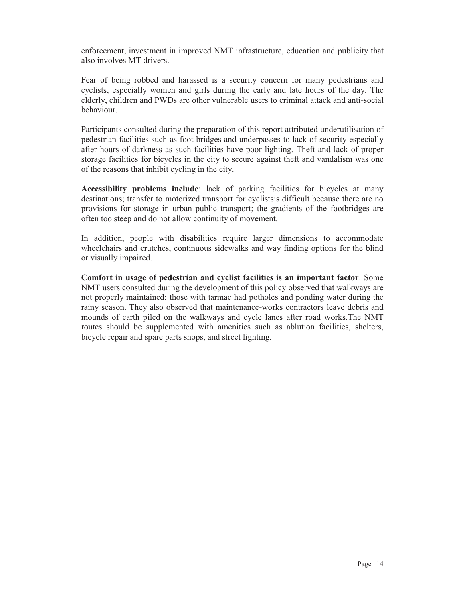enforcement, investment in improved NMT infrastructure, education and publicity that also involves MT drivers.

Fear of being robbed and harassed is a security concern for many pedestrians and cyclists, especially women and girls during the early and late hours of the day. The elderly, children and PWDs are other vulnerable users to criminal attack and anti-social behaviour.

Participants consulted during the preparation of this report attributed underutilisation of pedestrian facilities such as foot bridges and underpasses to lack of security especially after hours of darkness as such facilities have poor lighting. Theft and lack of proper storage facilities for bicycles in the city to secure against theft and vandalism was one of the reasons that inhibit cycling in the city.

**Accessibility problems include**: lack of parking facilities for bicycles at many destinations; transfer to motorized transport for cyclistsis difficult because there are no provisions for storage in urban public transport; the gradients of the footbridges are often too steep and do not allow continuity of movement.

In addition, people with disabilities require larger dimensions to accommodate wheelchairs and crutches, continuous sidewalks and way finding options for the blind or visually impaired.

**Comfort in usage of pedestrian and cyclist facilities is an important factor**. Some NMT users consulted during the development of this policy observed that walkways are not properly maintained; those with tarmac had potholes and ponding water during the rainy season. They also observed that maintenance-works contractors leave debris and mounds of earth piled on the walkways and cycle lanes after road works.The NMT routes should be supplemented with amenities such as ablution facilities, shelters, bicycle repair and spare parts shops, and street lighting.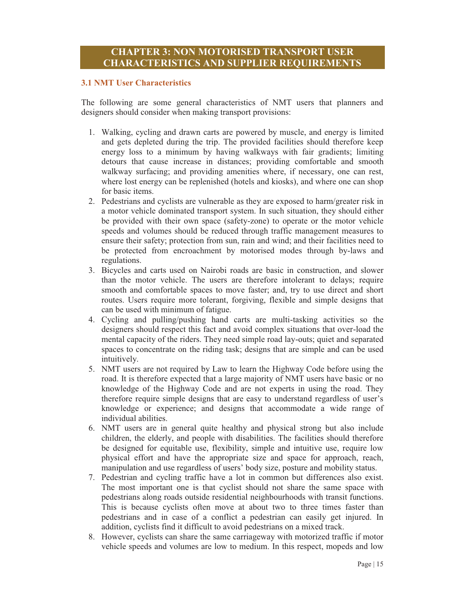# **CHAPTER 3: NON MOTORISED TRANSPORT USER CHARACTERISTICS AND SUPPLIER REQUIREMENTS**

#### **3.1 NMT User Characteristics**

The following are some general characteristics of NMT users that planners and designers should consider when making transport provisions:

- 1. Walking, cycling and drawn carts are powered by muscle, and energy is limited and gets depleted during the trip. The provided facilities should therefore keep energy loss to a minimum by having walkways with fair gradients; limiting detours that cause increase in distances; providing comfortable and smooth walkway surfacing; and providing amenities where, if necessary, one can rest, where lost energy can be replenished (hotels and kiosks), and where one can shop for basic items.
- 2. Pedestrians and cyclists are vulnerable as they are exposed to harm/greater risk in a motor vehicle dominated transport system. In such situation, they should either be provided with their own space (safety-zone) to operate or the motor vehicle speeds and volumes should be reduced through traffic management measures to ensure their safety; protection from sun, rain and wind; and their facilities need to be protected from encroachment by motorised modes through by-laws and regulations.
- 3. Bicycles and carts used on Nairobi roads are basic in construction, and slower than the motor vehicle. The users are therefore intolerant to delays; require smooth and comfortable spaces to move faster; and, try to use direct and short routes. Users require more tolerant, forgiving, flexible and simple designs that can be used with minimum of fatigue.
- 4. Cycling and pulling/pushing hand carts are multi-tasking activities so the designers should respect this fact and avoid complex situations that over-load the mental capacity of the riders. They need simple road lay-outs; quiet and separated spaces to concentrate on the riding task; designs that are simple and can be used intuitively.
- 5. NMT users are not required by Law to learn the Highway Code before using the road. It is therefore expected that a large majority of NMT users have basic or no knowledge of the Highway Code and are not experts in using the road. They therefore require simple designs that are easy to understand regardless of user's knowledge or experience; and designs that accommodate a wide range of individual abilities.
- 6. NMT users are in general quite healthy and physical strong but also include children, the elderly, and people with disabilities. The facilities should therefore be designed for equitable use, flexibility, simple and intuitive use, require low physical effort and have the appropriate size and space for approach, reach, manipulation and use regardless of users' body size, posture and mobility status.
- 7. Pedestrian and cycling traffic have a lot in common but differences also exist. The most important one is that cyclist should not share the same space with pedestrians along roads outside residential neighbourhoods with transit functions. This is because cyclists often move at about two to three times faster than pedestrians and in case of a conflict a pedestrian can easily get injured. In addition, cyclists find it difficult to avoid pedestrians on a mixed track.
- 8. However, cyclists can share the same carriageway with motorized traffic if motor vehicle speeds and volumes are low to medium. In this respect, mopeds and low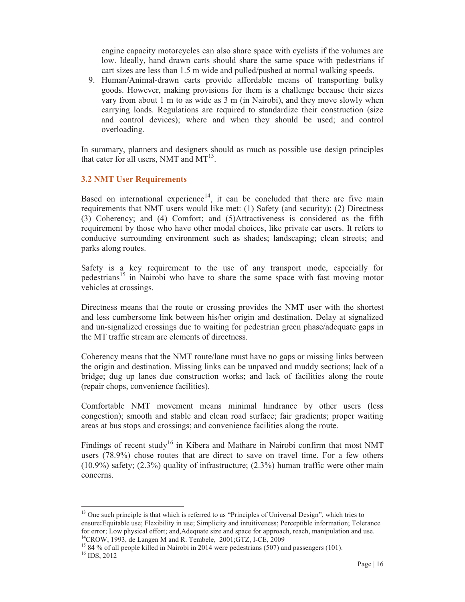engine capacity motorcycles can also share space with cyclists if the volumes are low. Ideally, hand drawn carts should share the same space with pedestrians if cart sizes are less than 1.5 m wide and pulled/pushed at normal walking speeds.

9. Human/Animal-drawn carts provide affordable means of transporting bulky goods. However, making provisions for them is a challenge because their sizes vary from about 1 m to as wide as 3 m (in Nairobi), and they move slowly when carrying loads. Regulations are required to standardize their construction (size and control devices); where and when they should be used; and control overloading.

In summary, planners and designers should as much as possible use design principles that cater for all users, NMT and  $MT^{13}$ .

#### **3.2 NMT User Requirements**

Based on international experience<sup>14</sup>, it can be concluded that there are five main requirements that NMT users would like met: (1) Safety (and security); (2) Directness (3) Coherency; and (4) Comfort; and (5)Attractiveness is considered as the fifth requirement by those who have other modal choices, like private car users. It refers to conducive surrounding environment such as shades; landscaping; clean streets; and parks along routes.

Safety is a key requirement to the use of any transport mode, especially for pedestrians<sup>15</sup> in Nairobi who have to share the same space with fast moving motor vehicles at crossings.

Directness means that the route or crossing provides the NMT user with the shortest and less cumbersome link between his/her origin and destination. Delay at signalized and un-signalized crossings due to waiting for pedestrian green phase/adequate gaps in the MT traffic stream are elements of directness.

Coherency means that the NMT route/lane must have no gaps or missing links between the origin and destination. Missing links can be unpaved and muddy sections; lack of a bridge; dug up lanes due construction works; and lack of facilities along the route (repair chops, convenience facilities).

Comfortable NMT movement means minimal hindrance by other users (less congestion); smooth and stable and clean road surface; fair gradients; proper waiting areas at bus stops and crossings; and convenience facilities along the route.

Findings of recent study<sup>16</sup> in Kibera and Mathare in Nairobi confirm that most NMT users (78.9%) chose routes that are direct to save on travel time. For a few others  $(10.9\%)$  safety;  $(2.3\%)$  quality of infrastructure;  $(2.3\%)$  human traffic were other main concerns.

 $\overline{a}$ <sup>13</sup> One such principle is that which is referred to as "Principles of Universal Design", which tries to ensure**:**Equitable use; Flexibility in use; Simplicity and intuitiveness; Perceptible information; Tolerance for error; Low physical effort; and,Adequate size and space for approach, reach, manipulation and use. 14CROW, 1993, de Langen M and R. Tembele, 2001;GTZ, I-CE, 2009

<sup>&</sup>lt;sup>15</sup> 84 % of all people killed in Nairobi in 2014 were pedestrians (507) and passengers (101).<br><sup>16</sup> IDS, 2012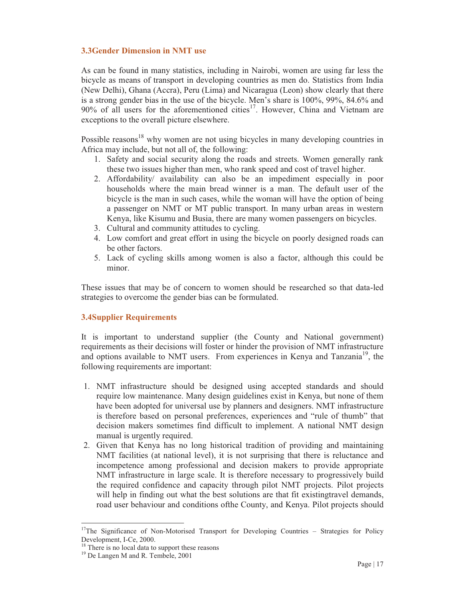# **3.3Gender Dimension in NMT use**

As can be found in many statistics, including in Nairobi, women are using far less the bicycle as means of transport in developing countries as men do. Statistics from India (New Delhi), Ghana (Accra), Peru (Lima) and Nicaragua (Leon) show clearly that there is a strong gender bias in the use of the bicycle. Men's share is 100%, 99%, 84.6% and  $90\%$  of all users for the aforementioned cities<sup>17</sup>. However, China and Vietnam are exceptions to the overall picture elsewhere.

Possible reasons<sup>18</sup> why women are not using bicycles in many developing countries in Africa may include, but not all of, the following:

- 1. Safety and social security along the roads and streets. Women generally rank these two issues higher than men, who rank speed and cost of travel higher.
- 2. Affordability/ availability can also be an impediment especially in poor households where the main bread winner is a man. The default user of the bicycle is the man in such cases, while the woman will have the option of being a passenger on NMT or MT public transport. In many urban areas in western Kenya, like Kisumu and Busia, there are many women passengers on bicycles.
- 3. Cultural and community attitudes to cycling.
- 4. Low comfort and great effort in using the bicycle on poorly designed roads can be other factors.
- 5. Lack of cycling skills among women is also a factor, although this could be minor.

These issues that may be of concern to women should be researched so that data-led strategies to overcome the gender bias can be formulated.

# **3.4Supplier Requirements**

It is important to understand supplier (the County and National government) requirements as their decisions will foster or hinder the provision of NMT infrastructure and options available to NMT users. From experiences in Kenya and Tanzania<sup>19</sup>, the following requirements are important:

- 1. NMT infrastructure should be designed using accepted standards and should require low maintenance. Many design guidelines exist in Kenya, but none of them have been adopted for universal use by planners and designers. NMT infrastructure is therefore based on personal preferences, experiences and "rule of thumb" that decision makers sometimes find difficult to implement. A national NMT design manual is urgently required.
- 2. Given that Kenya has no long historical tradition of providing and maintaining NMT facilities (at national level), it is not surprising that there is reluctance and incompetence among professional and decision makers to provide appropriate NMT infrastructure in large scale. It is therefore necessary to progressively build the required confidence and capacity through pilot NMT projects. Pilot projects will help in finding out what the best solutions are that fit existingtravel demands, road user behaviour and conditions ofthe County, and Kenya. Pilot projects should

 $\overline{a}$ 

<sup>&</sup>lt;sup>17</sup>The Significance of Non-Motorised Transport for Developing Countries - Strategies for Policy Development, I-Ce, 2000.

<sup>&</sup>lt;sup>18</sup> There is no local data to support these reasons <sup>19</sup> De Langen M and R. Tembele, 2001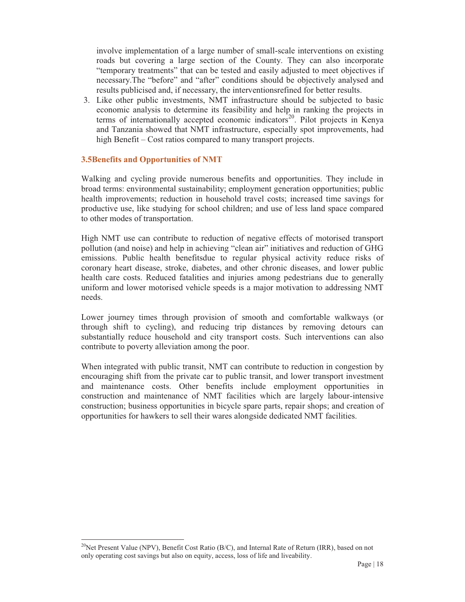involve implementation of a large number of small-scale interventions on existing roads but covering a large section of the County. They can also incorporate "temporary treatments" that can be tested and easily adjusted to meet objectives if necessary.The "before" and "after" conditions should be objectively analysed and results publicised and, if necessary, the interventionsrefined for better results.

3. Like other public investments, NMT infrastructure should be subjected to basic economic analysis to determine its feasibility and help in ranking the projects in terms of internationally accepted economic indicators<sup>20</sup>. Pilot projects in Kenya and Tanzania showed that NMT infrastructure, especially spot improvements, had high Benefit – Cost ratios compared to many transport projects.

#### **3.5Benefits and Opportunities of NMT**

Walking and cycling provide numerous benefits and opportunities. They include in broad terms: environmental sustainability; employment generation opportunities; public health improvements; reduction in household travel costs; increased time savings for productive use, like studying for school children; and use of less land space compared to other modes of transportation.

High NMT use can contribute to reduction of negative effects of motorised transport pollution (and noise) and help in achieving "clean air" initiatives and reduction of GHG emissions. Public health benefitsdue to regular physical activity reduce risks of coronary heart disease, stroke, diabetes, and other chronic diseases, and lower public health care costs. Reduced fatalities and injuries among pedestrians due to generally uniform and lower motorised vehicle speeds is a major motivation to addressing NMT needs.

Lower journey times through provision of smooth and comfortable walkways (or through shift to cycling), and reducing trip distances by removing detours can substantially reduce household and city transport costs. Such interventions can also contribute to poverty alleviation among the poor.

When integrated with public transit, NMT can contribute to reduction in congestion by encouraging shift from the private car to public transit, and lower transport investment and maintenance costs. Other benefits include employment opportunities in construction and maintenance of NMT facilities which are largely labour-intensive construction; business opportunities in bicycle spare parts, repair shops; and creation of opportunities for hawkers to sell their wares alongside dedicated NMT facilities.

 $\overline{a}$ <sup>20</sup>Net Present Value (NPV), Benefit Cost Ratio (B/C), and Internal Rate of Return (IRR), based on not only operating cost savings but also on equity, access, loss of life and liveability.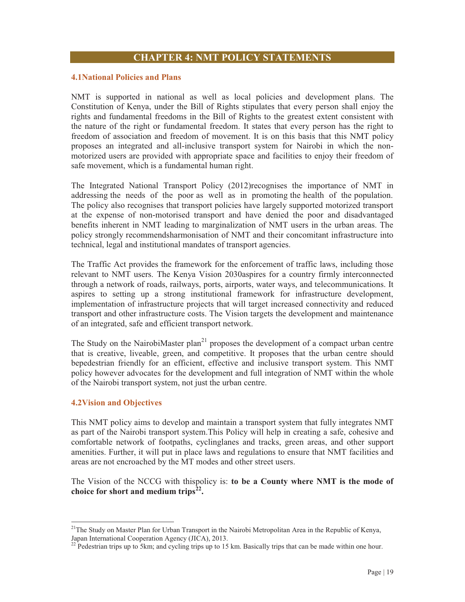# **CHAPTER 4: NMT POLICY STATEMENTS**

#### **4.1National Policies and Plans**

NMT is supported in national as well as local policies and development plans. The Constitution of Kenya, under the Bill of Rights stipulates that every person shall enjoy the rights and fundamental freedoms in the Bill of Rights to the greatest extent consistent with the nature of the right or fundamental freedom. It states that every person has the right to freedom of association and freedom of movement. It is on this basis that this NMT policy proposes an integrated and all-inclusive transport system for Nairobi in which the nonmotorized users are provided with appropriate space and facilities to enjoy their freedom of safe movement, which is a fundamental human right.

The Integrated National Transport Policy (2012)recognises the importance of NMT in addressing the needs of the poor as well as in promoting the health of the population. The policy also recognises that transport policies have largely supported motorized transport at the expense of non-motorised transport and have denied the poor and disadvantaged benefits inherent in NMT leading to marginalization of NMT users in the urban areas. The policy strongly recommendsharmonisation of NMT and their concomitant infrastructure into technical, legal and institutional mandates of transport agencies.

The Traffic Act provides the framework for the enforcement of traffic laws, including those relevant to NMT users. The Kenya Vision 2030aspires for a country firmly interconnected through a network of roads, railways, ports, airports, water ways, and telecommunications. It aspires to setting up a strong institutional framework for infrastructure development, implementation of infrastructure projects that will target increased connectivity and reduced transport and other infrastructure costs. The Vision targets the development and maintenance of an integrated, safe and efficient transport network.

The Study on the NairobiMaster plan<sup>21</sup> proposes the development of a compact urban centre that is creative, liveable, green, and competitive. It proposes that the urban centre should bepedestrian friendly for an efficient, effective and inclusive transport system. This NMT policy however advocates for the development and full integration of NMT within the whole of the Nairobi transport system, not just the urban centre.

#### **4.2Vision and Objectives**

-

This NMT policy aims to develop and maintain a transport system that fully integrates NMT as part of the Nairobi transport system.This Policy will help in creating a safe, cohesive and comfortable network of footpaths, cyclinglanes and tracks, green areas, and other support amenities. Further, it will put in place laws and regulations to ensure that NMT facilities and areas are not encroached by the MT modes and other street users.

The Vision of the NCCG with thispolicy is: **to be a County where NMT is the mode of choice for short and medium trips22.**

<sup>&</sup>lt;sup>21</sup>The Study on Master Plan for Urban Transport in the Nairobi Metropolitan Area in the Republic of Kenya, Japan International Cooperation Agency (JICA), 2013.

<sup>&</sup>lt;sup>22</sup> Pedestrian trips up to 5km; and cycling trips up to 15 km. Basically trips that can be made within one hour.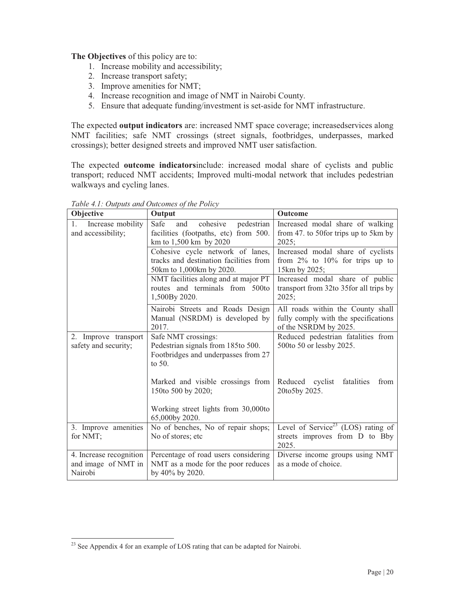**The Objectives** of this policy are to:

- 1. Increase mobility and accessibility;
- 2. Increase transport safety;
- 3. Improve amenities for NMT;
- 4. Increase recognition and image of NMT in Nairobi County.
- 5. Ensure that adequate funding/investment is set-aside for NMT infrastructure.

The expected **output indicators** are: increased NMT space coverage; increasedservices along NMT facilities; safe NMT crossings (street signals, footbridges, underpasses, marked crossings); better designed streets and improved NMT user satisfaction.

The expected **outcome indicators**include: increased modal share of cyclists and public transport; reduced NMT accidents; Improved multi-modal network that includes pedestrian walkways and cycling lanes.

| Objective                                                 | Output                                                                                                     | Outcome                                                                                            |
|-----------------------------------------------------------|------------------------------------------------------------------------------------------------------------|----------------------------------------------------------------------------------------------------|
| Increase mobility<br>$\mathbf{1}$ .<br>and accessibility; | Safe<br>cohesive<br>pedestrian<br>and<br>facilities (footpaths, etc) from 500.<br>km to 1,500 km by 2020   | Increased modal share of walking<br>from 47. to 50 for trips up to 5 km by<br>2025:                |
|                                                           | Cohesive cycle network of lanes,<br>tracks and destination facilities from<br>50km to 1,000km by 2020.     | Increased modal share of cyclists<br>from $2\%$ to $10\%$ for trips up to<br>15km by 2025;         |
|                                                           | NMT facilities along and at major PT<br>routes and terminals from 500to<br>1,500By 2020.                   | Increased modal share of public<br>transport from 32to 35for all trips by<br>2025;                 |
|                                                           | Nairobi Streets and Roads Design<br>Manual (NSRDM) is developed by<br>2017.                                | All roads within the County shall<br>fully comply with the specifications<br>of the NSRDM by 2025. |
| 2. Improve transport<br>safety and security;              | Safe NMT crossings:<br>Pedestrian signals from 185to 500.<br>Footbridges and underpasses from 27<br>to 50. | Reduced pedestrian fatalities from<br>500to 50 or lessby 2025.                                     |
|                                                           | Marked and visible crossings from<br>150to 500 by 2020;                                                    | Reduced cyclist<br>fatalities<br>from<br>20to5by 2025.                                             |
|                                                           | Working street lights from 30,000to<br>65,000by 2020.                                                      |                                                                                                    |
| 3. Improve amenities<br>for NMT;                          | No of benches, No of repair shops;<br>No of stores; etc                                                    | Level of Service <sup>23</sup> (LOS) rating of<br>streets improves from D to Bby<br>2025.          |
| 4. Increase recognition<br>and image of NMT in<br>Nairobi | Percentage of road users considering<br>NMT as a mode for the poor reduces<br>by 40% by 2020.              | Diverse income groups using NMT<br>as a mode of choice.                                            |

*Table 4.1: Outputs and Outcomes of the Policy* 

<sup>-</sup> $2<sup>23</sup>$  See Appendix 4 for an example of LOS rating that can be adapted for Nairobi.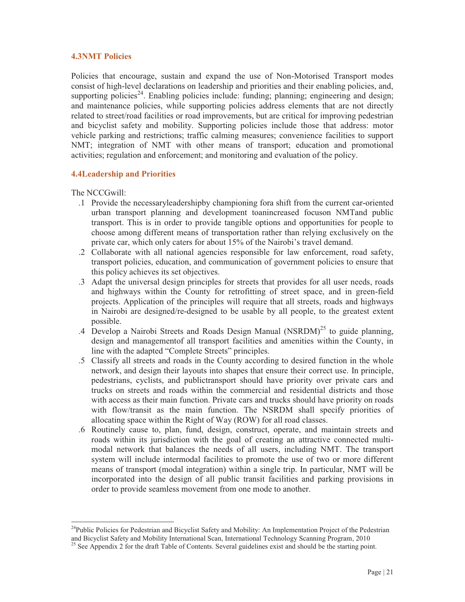## **4.3NMT Policies**

Policies that encourage, sustain and expand the use of Non-Motorised Transport modes consist of high-level declarations on leadership and priorities and their enabling policies, and, supporting policies<sup>24</sup>. Enabling policies include: funding; planning; engineering and design; and maintenance policies, while supporting policies address elements that are not directly related to street/road facilities or road improvements, but are critical for improving pedestrian and bicyclist safety and mobility. Supporting policies include those that address: motor vehicle parking and restrictions; traffic calming measures; convenience facilities to support NMT; integration of NMT with other means of transport; education and promotional activities; regulation and enforcement; and monitoring and evaluation of the policy.

# **4.4Leadership and Priorities**

The NCCGwill:

- .1 Provide the necessaryleadershipby championing fora shift from the current car-oriented urban transport planning and development toanincreased focuson NMTand public transport. This is in order to provide tangible options and opportunities for people to choose among different means of transportation rather than relying exclusively on the private car, which only caters for about 15% of the Nairobi's travel demand.
- .2 Collaborate with all national agencies responsible for law enforcement, road safety, transport policies, education, and communication of government policies to ensure that this policy achieves its set objectives.
- .3 Adapt the universal design principles for streets that provides for all user needs, roads and highways within the County for retrofitting of street space, and in green-field projects. Application of the principles will require that all streets, roads and highways in Nairobi are designed/re-designed to be usable by all people, to the greatest extent possible.
- .4 Develop a Nairobi Streets and Roads Design Manual  $(NSRDM)^{25}$  to guide planning, design and managementof all transport facilities and amenities within the County, in line with the adapted "Complete Streets" principles.
- .5 Classify all streets and roads in the County according to desired function in the whole network, and design their layouts into shapes that ensure their correct use. In principle, pedestrians, cyclists, and publictransport should have priority over private cars and trucks on streets and roads within the commercial and residential districts and those with access as their main function. Private cars and trucks should have priority on roads with flow/transit as the main function. The NSRDM shall specify priorities of allocating space within the Right of Way (ROW) for all road classes.
- .6 Routinely cause to, plan, fund, design, construct, operate, and maintain streets and roads within its jurisdiction with the goal of creating an attractive connected multimodal network that balances the needs of all users, including NMT. The transport system will include intermodal facilities to promote the use of two or more different means of transport (modal integration) within a single trip. In particular, NMT will be incorporated into the design of all public transit facilities and parking provisions in order to provide seamless movement from one mode to another.

<sup>-</sup><sup>24</sup>Public Policies for Pedestrian and Bicyclist Safety and Mobility: An Implementation Project of the Pedestrian and Bicyclist Safety and Mobility International Scan, International Technology Scanning Program, 2010

<sup>&</sup>lt;sup>25</sup> See Appendix 2 for the draft Table of Contents. Several guidelines exist and should be the starting point.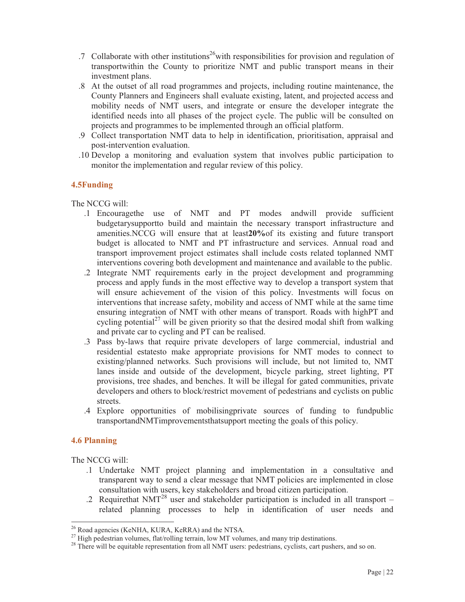- .7 Collaborate with other institutions<sup>26</sup> with responsibilities for provision and regulation of transportwithin the County to prioritize NMT and public transport means in their investment plans.
- .8 At the outset of all road programmes and projects, including routine maintenance, the County Planners and Engineers shall evaluate existing, latent, and projected access and mobility needs of NMT users, and integrate or ensure the developer integrate the identified needs into all phases of the project cycle. The public will be consulted on projects and programmes to be implemented through an official platform.
- .9 Collect transportation NMT data to help in identification, prioritisation, appraisal and post-intervention evaluation.
- .10 Develop a monitoring and evaluation system that involves public participation to monitor the implementation and regular review of this policy.

# **4.5Funding**

The NCCG will:

- .1 Encouragethe use of NMT and PT modes andwill provide sufficient budgetarysupportto build and maintain the necessary transport infrastructure and amenities.NCCG will ensure that at least**20%**of its existing and future transport budget is allocated to NMT and PT infrastructure and services. Annual road and transport improvement project estimates shall include costs related toplanned NMT interventions covering both development and maintenance and available to the public.
- .2 Integrate NMT requirements early in the project development and programming process and apply funds in the most effective way to develop a transport system that will ensure achievement of the vision of this policy. Investments will focus on interventions that increase safety, mobility and access of NMT while at the same time ensuring integration of NMT with other means of transport. Roads with highPT and cycling potential<sup>27</sup> will be given priority so that the desired modal shift from walking and private car to cycling and PT can be realised.
- .3 Pass by-laws that require private developers of large commercial, industrial and residential estatesto make appropriate provisions for NMT modes to connect to existing/planned networks. Such provisions will include, but not limited to, NMT lanes inside and outside of the development, bicycle parking, street lighting, PT provisions, tree shades, and benches. It will be illegal for gated communities, private developers and others to block/restrict movement of pedestrians and cyclists on public streets.
- .4 Explore opportunities of mobilisingprivate sources of funding to fundpublic transportandNMTimprovementsthatsupport meeting the goals of this policy.

#### **4.6 Planning**

-

The NCCG will:

- .1 Undertake NMT project planning and implementation in a consultative and transparent way to send a clear message that NMT policies are implemented in close consultation with users, key stakeholders and broad citizen participation.
- .2 Requirethat NMT<sup>28</sup> user and stakeholder participation is included in all transport related planning processes to help in identification of user needs and

<sup>&</sup>lt;sup>26</sup> Road agencies (KeNHA, KURA, KeRRA) and the NTSA.<br><sup>27</sup> High pedestrian volumes, flat/rolling terrain, low MT volumes, and many trip destinations.

<sup>&</sup>lt;sup>28</sup> There will be equitable representation from all NMT users: pedestrians, cyclists, cart pushers, and so on.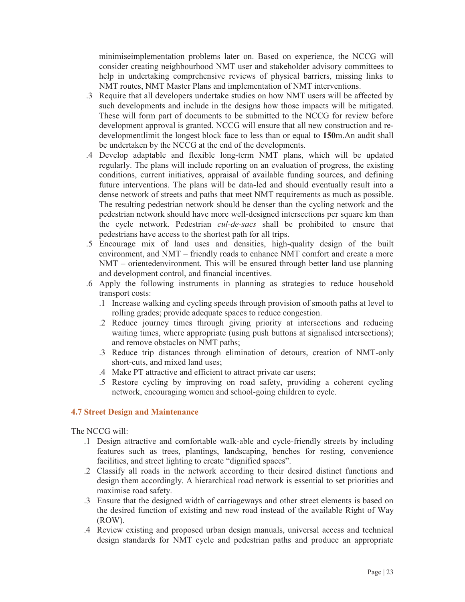minimiseimplementation problems later on. Based on experience, the NCCG will consider creating neighbourhood NMT user and stakeholder advisory committees to help in undertaking comprehensive reviews of physical barriers, missing links to NMT routes, NMT Master Plans and implementation of NMT interventions.

- .3 Require that all developers undertake studies on how NMT users will be affected by such developments and include in the designs how those impacts will be mitigated. These will form part of documents to be submitted to the NCCG for review before development approval is granted. NCCG will ensure that all new construction and redevelopmentlimit the longest block face to less than or equal to **150**m.An audit shall be undertaken by the NCCG at the end of the developments.
- .4 Develop adaptable and flexible long-term NMT plans, which will be updated regularly. The plans will include reporting on an evaluation of progress, the existing conditions, current initiatives, appraisal of available funding sources, and defining future interventions. The plans will be data-led and should eventually result into a dense network of streets and paths that meet NMT requirements as much as possible. The resulting pedestrian network should be denser than the cycling network and the pedestrian network should have more well-designed intersections per square km than the cycle network. Pedestrian *cul-de-sacs* shall be prohibited to ensure that pedestrians have access to the shortest path for all trips.
- .5 Encourage mix of land uses and densities, high-quality design of the built environment, and NMT – friendly roads to enhance NMT comfort and create a more NMT – orientedenvironment. This will be ensured through better land use planning and development control, and financial incentives.
- .6 Apply the following instruments in planning as strategies to reduce household transport costs:
	- .1 Increase walking and cycling speeds through provision of smooth paths at level to rolling grades; provide adequate spaces to reduce congestion.
	- .2 Reduce journey times through giving priority at intersections and reducing waiting times, where appropriate (using push buttons at signalised intersections); and remove obstacles on NMT paths;
	- .3 Reduce trip distances through elimination of detours, creation of NMT-only short-cuts, and mixed land uses;
	- .4 Make PT attractive and efficient to attract private car users;
	- .5 Restore cycling by improving on road safety, providing a coherent cycling network, encouraging women and school-going children to cycle.

#### **4.7 Street Design and Maintenance**

The NCCG will:

- .1 Design attractive and comfortable walk-able and cycle-friendly streets by including features such as trees, plantings, landscaping, benches for resting, convenience facilities, and street lighting to create "dignified spaces".
- .2 Classify all roads in the network according to their desired distinct functions and design them accordingly. A hierarchical road network is essential to set priorities and maximise road safety.
- .3 Ensure that the designed width of carriageways and other street elements is based on the desired function of existing and new road instead of the available Right of Way (ROW).
- .4 Review existing and proposed urban design manuals, universal access and technical design standards for NMT cycle and pedestrian paths and produce an appropriate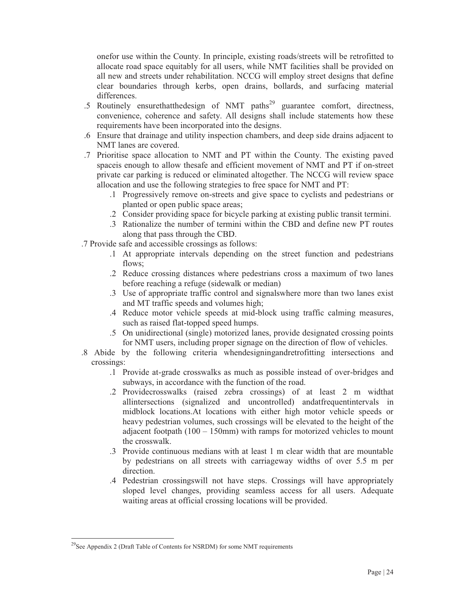onefor use within the County. In principle, existing roads/streets will be retrofitted to allocate road space equitably for all users, while NMT facilities shall be provided on all new and streets under rehabilitation. NCCG will employ street designs that define clear boundaries through kerbs, open drains, bollards, and surfacing material differences.

- .5 Routinely ensurethatthedesign of NMT paths<sup>29</sup> guarantee comfort, directness, convenience, coherence and safety. All designs shall include statements how these requirements have been incorporated into the designs.
- .6 Ensure that drainage and utility inspection chambers, and deep side drains adjacent to NMT lanes are covered.
- .7 Prioritise space allocation to NMT and PT within the County. The existing paved spaceis enough to allow thesafe and efficient movement of NMT and PT if on-street private car parking is reduced or eliminated altogether. The NCCG will review space allocation and use the following strategies to free space for NMT and PT:
	- .1 Progressively remove on-streets and give space to cyclists and pedestrians or planted or open public space areas;
	- .2 Consider providing space for bicycle parking at existing public transit termini.
	- .3 Rationalize the number of termini within the CBD and define new PT routes along that pass through the CBD.
- .7 Provide safe and accessible crossings as follows:
	- .1 At appropriate intervals depending on the street function and pedestrians flows:
	- .2 Reduce crossing distances where pedestrians cross a maximum of two lanes before reaching a refuge (sidewalk or median)
	- .3 Use of appropriate traffic control and signalswhere more than two lanes exist and MT traffic speeds and volumes high;
	- .4 Reduce motor vehicle speeds at mid-block using traffic calming measures, such as raised flat-topped speed humps.
	- .5 On unidirectional (single) motorized lanes, provide designated crossing points for NMT users, including proper signage on the direction of flow of vehicles.
- .8 Abide by the following criteria whendesigningandretrofitting intersections and crossings:
	- .1 Provide at-grade crosswalks as much as possible instead of over-bridges and subways, in accordance with the function of the road.
	- .2 Providecrosswalks (raised zebra crossings) of at least 2 m widthat allintersections (signalized and uncontrolled) andatfrequentintervals in midblock locations.At locations with either high motor vehicle speeds or heavy pedestrian volumes, such crossings will be elevated to the height of the adjacent footpath  $(100 - 150$ mm) with ramps for motorized vehicles to mount the crosswalk.
	- .3 Provide continuous medians with at least 1 m clear width that are mountable by pedestrians on all streets with carriageway widths of over 5.5 m per direction.
	- .4 Pedestrian crossingswill not have steps. Crossings will have appropriately sloped level changes, providing seamless access for all users. Adequate waiting areas at official crossing locations will be provided.

-

<sup>&</sup>lt;sup>29</sup>See Appendix 2 (Draft Table of Contents for NSRDM) for some NMT requirements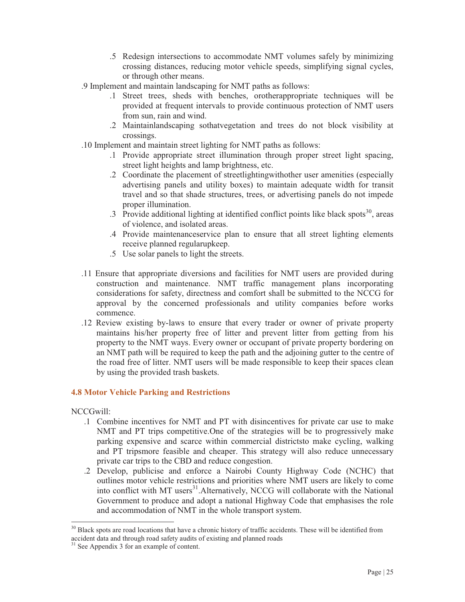- .5 Redesign intersections to accommodate NMT volumes safely by minimizing crossing distances, reducing motor vehicle speeds, simplifying signal cycles, or through other means.
- .9 Implement and maintain landscaping for NMT paths as follows:
	- .1 Street trees, sheds with benches, orotherappropriate techniques will be provided at frequent intervals to provide continuous protection of NMT users from sun, rain and wind.
	- .2 Maintainlandscaping sothatvegetation and trees do not block visibility at crossings.
- .10 Implement and maintain street lighting for NMT paths as follows:
	- .1 Provide appropriate street illumination through proper street light spacing, street light heights and lamp brightness, etc.
	- .2 Coordinate the placement of streetlightingwithother user amenities (especially advertising panels and utility boxes) to maintain adequate width for transit travel and so that shade structures, trees, or advertising panels do not impede proper illumination.
	- .3 Provide additional lighting at identified conflict points like black spots $30$ , areas of violence, and isolated areas.
	- .4 Provide maintenanceservice plan to ensure that all street lighting elements receive planned regularupkeep.
	- .5 Use solar panels to light the streets.
- .11 Ensure that appropriate diversions and facilities for NMT users are provided during construction and maintenance. NMT traffic management plans incorporating considerations for safety, directness and comfort shall be submitted to the NCCG for approval by the concerned professionals and utility companies before works commence.
- .12 Review existing by-laws to ensure that every trader or owner of private property maintains his/her property free of litter and prevent litter from getting from his property to the NMT ways. Every owner or occupant of private property bordering on an NMT path will be required to keep the path and the adjoining gutter to the centre of the road free of litter. NMT users will be made responsible to keep their spaces clean by using the provided trash baskets.

#### **4.8 Motor Vehicle Parking and Restrictions**

NCCGwill:

-

- .1 Combine incentives for NMT and PT with disincentives for private car use to make NMT and PT trips competitive.One of the strategies will be to progressively make parking expensive and scarce within commercial districtsto make cycling, walking and PT tripsmore feasible and cheaper. This strategy will also reduce unnecessary private car trips to the CBD and reduce congestion.
- .2 Develop, publicise and enforce a Nairobi County Highway Code (NCHC) that outlines motor vehicle restrictions and priorities where NMT users are likely to come into conflict with MT users<sup>31</sup>. Alternatively, NCCG will collaborate with the National Government to produce and adopt a national Highway Code that emphasises the role and accommodation of NMT in the whole transport system.

<sup>&</sup>lt;sup>30</sup> Black spots are road locations that have a chronic history of traffic accidents. These will be identified from accident data and through road safety audits of existing and planned roads <sup>31</sup> See Appendix 3 for an example of content.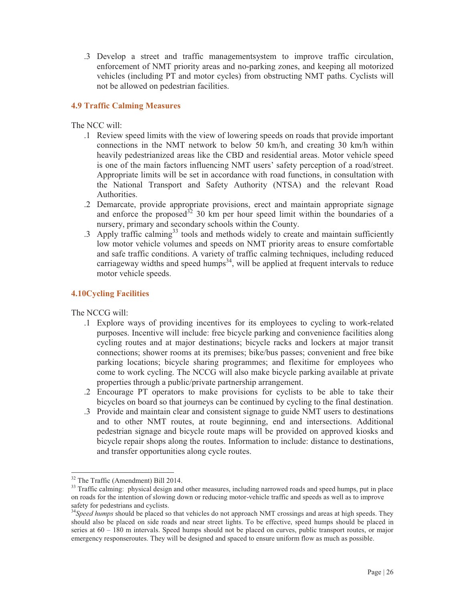.3 Develop a street and traffic managementsystem to improve traffic circulation, enforcement of NMT priority areas and no-parking zones, and keeping all motorized vehicles (including PT and motor cycles) from obstructing NMT paths. Cyclists will not be allowed on pedestrian facilities.

# **4.9 Traffic Calming Measures**

# The NCC will:

- .1 Review speed limits with the view of lowering speeds on roads that provide important connections in the NMT network to below 50 km/h, and creating 30 km/h within heavily pedestrianized areas like the CBD and residential areas. Motor vehicle speed is one of the main factors influencing NMT users' safety perception of a road/street. Appropriate limits will be set in accordance with road functions, in consultation with the National Transport and Safety Authority (NTSA) and the relevant Road Authorities.
- .2 Demarcate, provide appropriate provisions, erect and maintain appropriate signage and enforce the proposed<sup>32</sup> 30 km per hour speed limit within the boundaries of a nursery, primary and secondary schools within the County.
- $\beta$ .3 Apply traffic calming<sup>33</sup> tools and methods widely to create and maintain sufficiently low motor vehicle volumes and speeds on NMT priority areas to ensure comfortable and safe traffic conditions. A variety of traffic calming techniques, including reduced carriageway widths and speed humps<sup>34</sup>, will be applied at frequent intervals to reduce motor vehicle speeds.

# **4.10Cycling Facilities**

The NCCG will:

- .1 Explore ways of providing incentives for its employees to cycling to work-related purposes. Incentive will include: free bicycle parking and convenience facilities along cycling routes and at major destinations; bicycle racks and lockers at major transit connections; shower rooms at its premises; bike/bus passes; convenient and free bike parking locations; bicycle sharing programmes; and flexitime for employees who come to work cycling. The NCCG will also make bicycle parking available at private properties through a public/private partnership arrangement.
- .2 Encourage PT operators to make provisions for cyclists to be able to take their bicycles on board so that journeys can be continued by cycling to the final destination.
- .3 Provide and maintain clear and consistent signage to guide NMT users to destinations and to other NMT routes, at route beginning, end and intersections. Additional pedestrian signage and bicycle route maps will be provided on approved kiosks and bicycle repair shops along the routes. Information to include: distance to destinations, and transfer opportunities along cycle routes.

<sup>-</sup><sup>32</sup> The Traffic (Amendment) Bill 2014.

<sup>&</sup>lt;sup>33</sup> Traffic calming: physical design and other measures, including narrowed roads and speed humps, put in place on roads for the intention of slowing down or reducing motor-vehicle traffic and speeds as well as to improve safety for pedestrians and cyclists.

<sup>&</sup>lt;sup>34</sup>Speed humps should be placed so that vehicles do not approach NMT crossings and areas at high speeds. They should also be placed on side roads and near street lights. To be effective, speed humps should be placed in series at 60 – 180 m intervals. Speed humps should not be placed on curves, public transport routes, or major emergency responseroutes. They will be designed and spaced to ensure uniform flow as much as possible.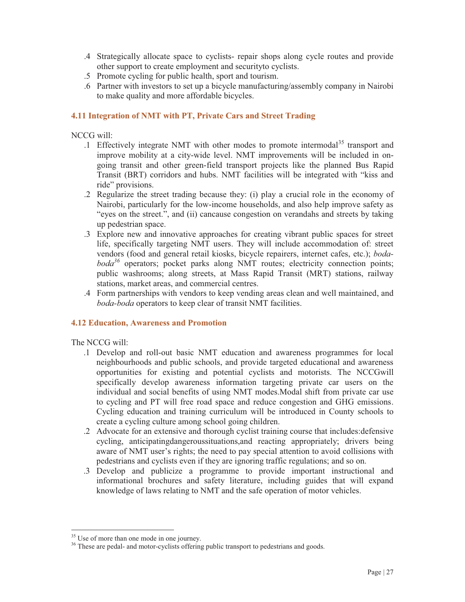- .4 Strategically allocate space to cyclists- repair shops along cycle routes and provide other support to create employment and securityto cyclists.
- .5 Promote cycling for public health, sport and tourism.
- .6 Partner with investors to set up a bicycle manufacturing/assembly company in Nairobi to make quality and more affordable bicycles.

# **4.11 Integration of NMT with PT, Private Cars and Street Trading**

NCCG will:

- .1 Effectively integrate NMT with other modes to promote intermodal<sup>35</sup> transport and improve mobility at a city-wide level. NMT improvements will be included in ongoing transit and other green-field transport projects like the planned Bus Rapid Transit (BRT) corridors and hubs. NMT facilities will be integrated with "kiss and ride" provisions.
- .2 Regularize the street trading because they: (i) play a crucial role in the economy of Nairobi, particularly for the low-income households, and also help improve safety as "eyes on the street.", and (ii) cancause congestion on verandahs and streets by taking up pedestrian space.
- .3 Explore new and innovative approaches for creating vibrant public spaces for street life, specifically targeting NMT users. They will include accommodation of: street vendors (food and general retail kiosks, bicycle repairers, internet cafes, etc.); *bodaboda<sup>36</sup>* operators; pocket parks along NMT routes; electricity connection points; public washrooms; along streets, at Mass Rapid Transit (MRT) stations, railway stations, market areas, and commercial centres.
- .4 Form partnerships with vendors to keep vending areas clean and well maintained, and *boda-boda* operators to keep clear of transit NMT facilities.

#### **4.12 Education, Awareness and Promotion**

The NCCG will:

-

- .1 Develop and roll-out basic NMT education and awareness programmes for local neighbourhoods and public schools, and provide targeted educational and awareness opportunities for existing and potential cyclists and motorists. The NCCGwill specifically develop awareness information targeting private car users on the individual and social benefits of using NMT modes.Modal shift from private car use to cycling and PT will free road space and reduce congestion and GHG emissions. Cycling education and training curriculum will be introduced in County schools to create a cycling culture among school going children.
- .2 Advocate for an extensive and thorough cyclist training course that includes:defensive cycling, anticipatingdangeroussituations,and reacting appropriately; drivers being aware of NMT user's rights; the need to pay special attention to avoid collisions with pedestrians and cyclists even if they are ignoring traffic regulations; and so on.
- .3 Develop and publicize a programme to provide important instructional and informational brochures and safety literature, including guides that will expand knowledge of laws relating to NMT and the safe operation of motor vehicles.

<sup>&</sup>lt;sup>35</sup> Use of more than one mode in one journey.

<sup>&</sup>lt;sup>36</sup> These are pedal- and motor-cyclists offering public transport to pedestrians and goods.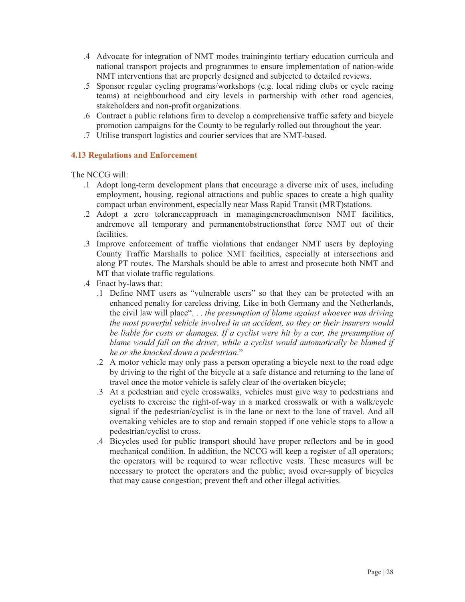- .4 Advocate for integration of NMT modes traininginto tertiary education curricula and national transport projects and programmes to ensure implementation of nation-wide NMT interventions that are properly designed and subjected to detailed reviews.
- .5 Sponsor regular cycling programs/workshops (e.g. local riding clubs or cycle racing teams) at neighbourhood and city levels in partnership with other road agencies, stakeholders and non-profit organizations.
- .6 Contract a public relations firm to develop a comprehensive traffic safety and bicycle promotion campaigns for the County to be regularly rolled out throughout the year.
- .7 Utilise transport logistics and courier services that are NMT-based.

# **4.13 Regulations and Enforcement**

The NCCG will:

- .1 Adopt long-term development plans that encourage a diverse mix of uses, including employment, housing, regional attractions and public spaces to create a high quality compact urban environment, especially near Mass Rapid Transit (MRT)stations.
- .2 Adopt a zero toleranceapproach in managingencroachmentson NMT facilities, andremove all temporary and permanentobstructionsthat force NMT out of their facilities.
- .3 Improve enforcement of traffic violations that endanger NMT users by deploying County Traffic Marshalls to police NMT facilities, especially at intersections and along PT routes. The Marshals should be able to arrest and prosecute both NMT and MT that violate traffic regulations.
- .4 Enact by-laws that:
	- .1 Define NMT users as "vulnerable users" so that they can be protected with an enhanced penalty for careless driving. Like in both Germany and the Netherlands, the civil law will place". . . *the presumption of blame against whoever was driving the most powerful vehicle involved in an accident, so they or their insurers would be liable for costs or damages. If a cyclist were hit by a car, the presumption of*  blame would fall on the driver, while a cyclist would automatically be blamed if *he or she knocked down a pedestrian*."
	- .2 A motor vehicle may only pass a person operating a bicycle next to the road edge by driving to the right of the bicycle at a safe distance and returning to the lane of travel once the motor vehicle is safely clear of the overtaken bicycle;
	- .3 At a pedestrian and cycle crosswalks, vehicles must give way to pedestrians and cyclists to exercise the right-of-way in a marked crosswalk or with a walk/cycle signal if the pedestrian/cyclist is in the lane or next to the lane of travel. And all overtaking vehicles are to stop and remain stopped if one vehicle stops to allow a pedestrian/cyclist to cross.
	- .4 Bicycles used for public transport should have proper reflectors and be in good mechanical condition. In addition, the NCCG will keep a register of all operators; the operators will be required to wear reflective vests. These measures will be necessary to protect the operators and the public; avoid over-supply of bicycles that may cause congestion; prevent theft and other illegal activities.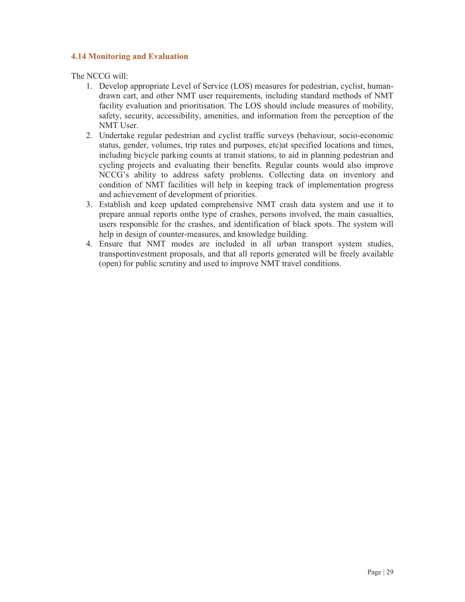# **4.14 Monitoring and Evaluation**

The NCCG will:

- 1. Develop appropriate Level of Service (LOS) measures for pedestrian, cyclist, humandrawn cart, and other NMT user requirements, including standard methods of NMT facility evaluation and prioritisation. The LOS should include measures of mobility, safety, security, accessibility, amenities, and information from the perception of the NMT User.
- 2. Undertake regular pedestrian and cyclist traffic surveys (behaviour, socio-economic status, gender, volumes, trip rates and purposes, etc)at specified locations and times, including bicycle parking counts at transit stations, to aid in planning pedestrian and cycling projects and evaluating their benefits. Regular counts would also improve NCCG's ability to address safety problems. Collecting data on inventory and condition of NMT facilities will help in keeping track of implementation progress and achievement of development of priorities.
- 3. Establish and keep updated comprehensive NMT crash data system and use it to prepare annual reports onthe type of crashes, persons involved, the main casualties, users responsible for the crashes, and identification of black spots. The system will help in design of counter-measures, and knowledge building.
- 4. Ensure that NMT modes are included in all urban transport system studies, transportinvestment proposals, and that all reports generated will be freely available (open) for public scrutiny and used to improve NMT travel conditions.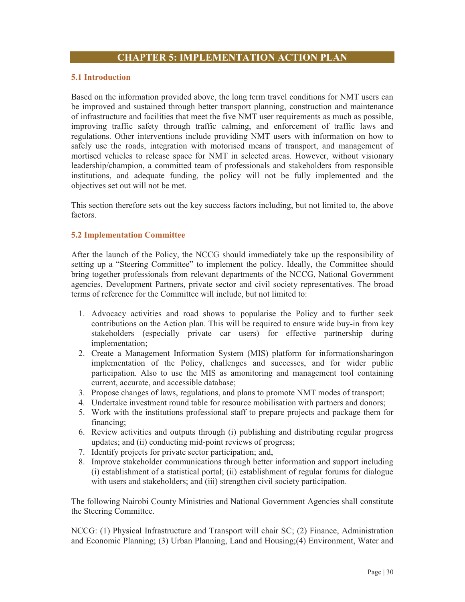#### **5.1 Introduction**

Based on the information provided above, the long term travel conditions for NMT users can be improved and sustained through better transport planning, construction and maintenance of infrastructure and facilities that meet the five NMT user requirements as much as possible, improving traffic safety through traffic calming, and enforcement of traffic laws and regulations. Other interventions include providing NMT users with information on how to safely use the roads, integration with motorised means of transport, and management of mortised vehicles to release space for NMT in selected areas. However, without visionary leadership/champion, a committed team of professionals and stakeholders from responsible institutions, and adequate funding, the policy will not be fully implemented and the objectives set out will not be met.

This section therefore sets out the key success factors including, but not limited to, the above factors.

#### **5.2 Implementation Committee**

After the launch of the Policy, the NCCG should immediately take up the responsibility of setting up a "Steering Committee" to implement the policy. Ideally, the Committee should bring together professionals from relevant departments of the NCCG, National Government agencies, Development Partners, private sector and civil society representatives. The broad terms of reference for the Committee will include, but not limited to:

- 1. Advocacy activities and road shows to popularise the Policy and to further seek contributions on the Action plan. This will be required to ensure wide buy-in from key stakeholders (especially private car users) for effective partnership during implementation;
- 2. Create a Management Information System (MIS) platform for informationsharingon implementation of the Policy, challenges and successes, and for wider public participation. Also to use the MIS as amonitoring and management tool containing current, accurate, and accessible database;
- 3. Propose changes of laws, regulations, and plans to promote NMT modes of transport;
- 4. Undertake investment round table for resource mobilisation with partners and donors;
- 5. Work with the institutions professional staff to prepare projects and package them for financing;
- 6. Review activities and outputs through (i) publishing and distributing regular progress updates; and (ii) conducting mid-point reviews of progress;
- 7. Identify projects for private sector participation; and,
- 8. Improve stakeholder communications through better information and support including (i) establishment of a statistical portal; (ii) establishment of regular forums for dialogue with users and stakeholders; and (iii) strengthen civil society participation.

The following Nairobi County Ministries and National Government Agencies shall constitute the Steering Committee.

NCCG: (1) Physical Infrastructure and Transport will chair SC; (2) Finance, Administration and Economic Planning; (3) Urban Planning, Land and Housing;(4) Environment, Water and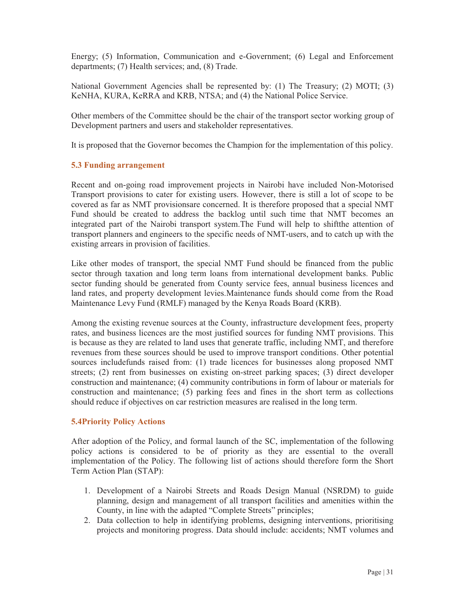Energy; (5) Information, Communication and e-Government; (6) Legal and Enforcement departments; (7) Health services; and, (8) Trade.

National Government Agencies shall be represented by: (1) The Treasury; (2) MOTI; (3) KeNHA, KURA, KeRRA and KRB, NTSA; and (4) the National Police Service.

Other members of the Committee should be the chair of the transport sector working group of Development partners and users and stakeholder representatives.

It is proposed that the Governor becomes the Champion for the implementation of this policy.

# **5.3 Funding arrangement**

Recent and on-going road improvement projects in Nairobi have included Non-Motorised Transport provisions to cater for existing users. However, there is still a lot of scope to be covered as far as NMT provisionsare concerned. It is therefore proposed that a special NMT Fund should be created to address the backlog until such time that NMT becomes an integrated part of the Nairobi transport system.The Fund will help to shiftthe attention of transport planners and engineers to the specific needs of NMT-users, and to catch up with the existing arrears in provision of facilities.

Like other modes of transport, the special NMT Fund should be financed from the public sector through taxation and long term loans from international development banks. Public sector funding should be generated from County service fees, annual business licences and land rates, and property development levies.Maintenance funds should come from the Road Maintenance Levy Fund (RMLF) managed by the Kenya Roads Board (KRB).

Among the existing revenue sources at the County, infrastructure development fees, property rates, and business licences are the most justified sources for funding NMT provisions. This is because as they are related to land uses that generate traffic, including NMT, and therefore revenues from these sources should be used to improve transport conditions. Other potential sources includefunds raised from: (1) trade licences for businesses along proposed NMT streets; (2) rent from businesses on existing on-street parking spaces; (3) direct developer construction and maintenance; (4) community contributions in form of labour or materials for construction and maintenance; (5) parking fees and fines in the short term as collections should reduce if objectives on car restriction measures are realised in the long term.

#### **5.4Priority Policy Actions**

After adoption of the Policy, and formal launch of the SC, implementation of the following policy actions is considered to be of priority as they are essential to the overall implementation of the Policy. The following list of actions should therefore form the Short Term Action Plan (STAP):

- 1. Development of a Nairobi Streets and Roads Design Manual (NSRDM) to guide planning, design and management of all transport facilities and amenities within the County, in line with the adapted "Complete Streets" principles;
- 2. Data collection to help in identifying problems, designing interventions, prioritising projects and monitoring progress. Data should include: accidents; NMT volumes and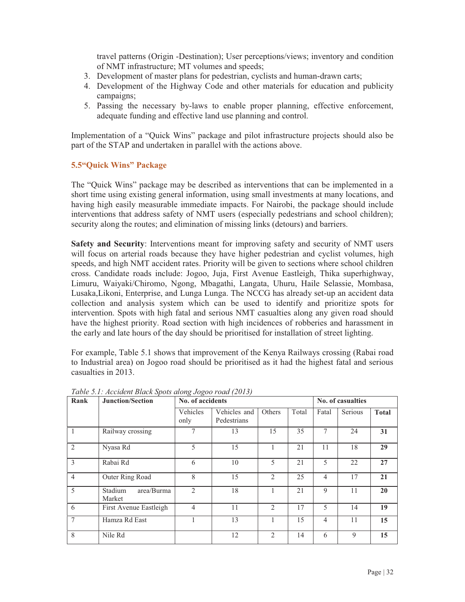travel patterns (Origin -Destination); User perceptions/views; inventory and condition of NMT infrastructure; MT volumes and speeds;

- 3. Development of master plans for pedestrian, cyclists and human-drawn carts;
- 4. Development of the Highway Code and other materials for education and publicity campaigns;
- 5. Passing the necessary by-laws to enable proper planning, effective enforcement, adequate funding and effective land use planning and control.

Implementation of a "Quick Wins" package and pilot infrastructure projects should also be part of the STAP and undertaken in parallel with the actions above.

# **5.5"Quick Wins" Package**

The "Quick Wins" package may be described as interventions that can be implemented in a short time using existing general information, using small investments at many locations, and having high easily measurable immediate impacts. For Nairobi, the package should include interventions that address safety of NMT users (especially pedestrians and school children); security along the routes; and elimination of missing links (detours) and barriers.

**Safety and Security**: Interventions meant for improving safety and security of NMT users will focus on arterial roads because they have higher pedestrian and cyclist volumes, high speeds, and high NMT accident rates. Priority will be given to sections where school children cross. Candidate roads include: Jogoo, Juja, First Avenue Eastleigh, Thika superhighway, Limuru, Waiyaki/Chiromo, Ngong, Mbagathi, Langata, Uhuru, Haile Selassie, Mombasa, Lusaka,Likoni, Enterprise, and Lunga Lunga. The NCCG has already set-up an accident data collection and analysis system which can be used to identify and prioritize spots for intervention. Spots with high fatal and serious NMT casualties along any given road should have the highest priority. Road section with high incidences of robberies and harassment in the early and late hours of the day should be prioritised for installation of street lighting.

For example, Table 5.1 shows that improvement of the Kenya Railways crossing (Rabai road to Industrial area) on Jogoo road should be prioritised as it had the highest fatal and serious casualties in 2013.

| Rank           | <b>Junction/Section</b>         | No. of accidents |                             |                |       |                | No. of casualties |              |
|----------------|---------------------------------|------------------|-----------------------------|----------------|-------|----------------|-------------------|--------------|
|                |                                 | Vehicles<br>only | Vehicles and<br>Pedestrians | Others         | Total | Fatal          | Serious           | <b>Total</b> |
| 1              | Railway crossing                | 7                | 13                          | 15             | 35    | 7              | 24                | 31           |
| $\overline{2}$ | Nyasa Rd                        | 5                | 15                          | 1              | 21    | 11             | 18                | 29           |
| $\mathcal{E}$  | Rabai Rd                        | 6                | 10                          | 5              | 21    | 5              | 22                | 27           |
| $\overline{4}$ | Outer Ring Road                 | 8                | 15                          | 2              | 25    | $\overline{4}$ | 17                | 21           |
| 5              | Stadium<br>area/Burma<br>Market | $\overline{2}$   | 18                          | 1              | 21    | 9              | 11                | 20           |
| 6              | First Avenue Eastleigh          | $\overline{4}$   | 11                          | $\overline{2}$ | 17    | 5              | 14                | 19           |
| 7              | Hamza Rd East                   | 1                | 13                          | 1              | 15    | $\overline{4}$ | 11                | 15           |
| 8              | Nile Rd                         |                  | 12                          | 2              | 14    | 6              | 9                 | 15           |

*Table 5.1: Accident Black Spots along Jogoo road (2013)*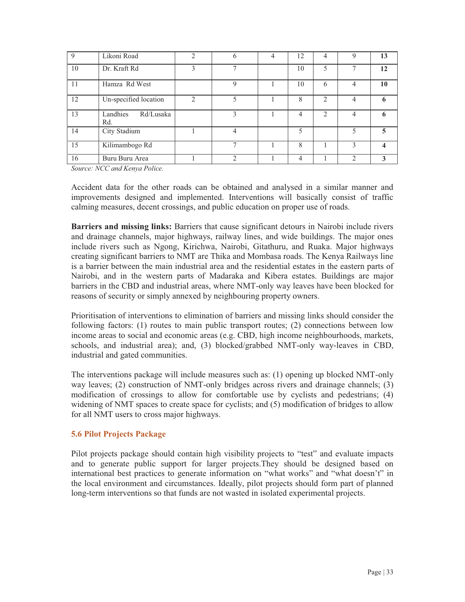| 9  | Likoni Road                  | $\mathfrak{D}$ | 6                        | 4 | 12 | 4                             | $\mathbf Q$    | 13 |
|----|------------------------------|----------------|--------------------------|---|----|-------------------------------|----------------|----|
| 10 | Dr. Kraft Rd                 | 3              | $\overline{\phantom{a}}$ |   | 10 | 5                             |                | 12 |
| 11 | Hamza Rd West                |                | 9                        |   | 10 | 6                             | $\overline{4}$ | 10 |
| 12 | Un-specified location        | $\mathfrak{D}$ |                          |   | 8  | $\mathfrak{D}$                | $\overline{4}$ | 6  |
| 13 | Rd/Lusaka<br>Landhies<br>Rd. |                | 3                        |   | 4  | $\mathfrak{D}_{\mathfrak{p}}$ | $\overline{4}$ | 6  |
| 14 | City Stadium                 |                | $\overline{4}$           |   | 5  |                               |                | 5  |
| 15 | Kilimambogo Rd               |                | $\overline{ }$           |   | 8  |                               | 3              | 4  |
| 16 | Buru Buru Area               |                | $\mathcal{L}$            |   | 4  |                               | $\mathfrak{D}$ | 3  |

*Source: NCC and Kenya Police.* 

Accident data for the other roads can be obtained and analysed in a similar manner and improvements designed and implemented. Interventions will basically consist of traffic calming measures, decent crossings, and public education on proper use of roads.

**Barriers and missing links:** Barriers that cause significant detours in Nairobi include rivers and drainage channels, major highways, railway lines, and wide buildings. The major ones include rivers such as Ngong, Kirichwa, Nairobi, Gitathuru, and Ruaka. Major highways creating significant barriers to NMT are Thika and Mombasa roads. The Kenya Railways line is a barrier between the main industrial area and the residential estates in the eastern parts of Nairobi, and in the western parts of Madaraka and Kibera estates. Buildings are major barriers in the CBD and industrial areas, where NMT-only way leaves have been blocked for reasons of security or simply annexed by neighbouring property owners.

Prioritisation of interventions to elimination of barriers and missing links should consider the following factors: (1) routes to main public transport routes; (2) connections between low income areas to social and economic areas (e.g. CBD, high income neighbourhoods, markets, schools, and industrial area); and, (3) blocked/grabbed NMT-only way-leaves in CBD, industrial and gated communities.

The interventions package will include measures such as: (1) opening up blocked NMT-only way leaves; (2) construction of NMT-only bridges across rivers and drainage channels; (3) modification of crossings to allow for comfortable use by cyclists and pedestrians; (4) widening of NMT spaces to create space for cyclists; and (5) modification of bridges to allow for all NMT users to cross major highways.

#### **5.6 Pilot Projects Package**

Pilot projects package should contain high visibility projects to "test" and evaluate impacts and to generate public support for larger projects.They should be designed based on international best practices to generate information on "what works" and "what doesn't" in the local environment and circumstances. Ideally, pilot projects should form part of planned long-term interventions so that funds are not wasted in isolated experimental projects.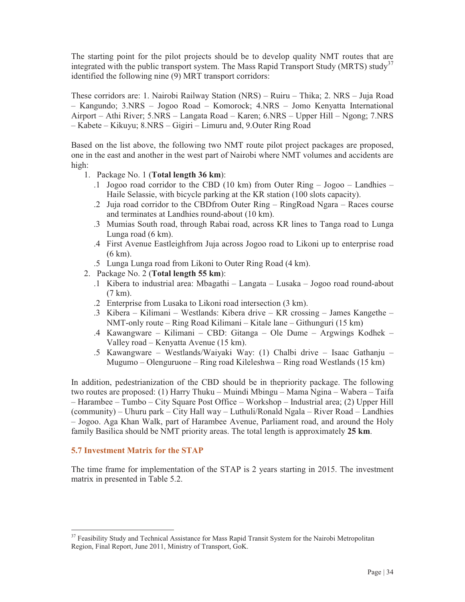The starting point for the pilot projects should be to develop quality NMT routes that are integrated with the public transport system. The Mass Rapid Transport Study (MRTS) study<sup>37</sup> identified the following nine (9) MRT transport corridors:

These corridors are: 1. Nairobi Railway Station (NRS) – Ruiru – Thika; 2. NRS – Juja Road – Kangundo; 3.NRS – Jogoo Road – Komorock; 4.NRS – Jomo Kenyatta International Airport – Athi River; 5.NRS – Langata Road – Karen; 6.NRS – Upper Hill – Ngong; 7.NRS – Kabete – Kikuyu; 8.NRS – Gigiri – Limuru and, 9.Outer Ring Road

Based on the list above, the following two NMT route pilot project packages are proposed, one in the east and another in the west part of Nairobi where NMT volumes and accidents are high:

- 1. Package No. 1 (**Total length 36 km**):
	- .1 Jogoo road corridor to the CBD (10 km) from Outer Ring  $-$  Jogoo Landhies Haile Selassie, with bicycle parking at the KR station (100 slots capacity).
	- .2 Juja road corridor to the CBDfrom Outer Ring RingRoad Ngara Races course and terminates at Landhies round-about (10 km).
	- .3 Mumias South road, through Rabai road, across KR lines to Tanga road to Lunga Lunga road (6 km).
	- .4 First Avenue Eastleighfrom Juja across Jogoo road to Likoni up to enterprise road (6 km).
	- .5 Lunga Lunga road from Likoni to Outer Ring Road (4 km).
- 2. Package No. 2 (**Total length 55 km**):
	- .1 Kibera to industrial area: Mbagathi Langata Lusaka Jogoo road round-about (7 km).
	- .2 Enterprise from Lusaka to Likoni road intersection (3 km).
	- .3 Kibera Kilimani Westlands: Kibera drive KR crossing James Kangethe NMT-only route – Ring Road Kilimani – Kitale lane – Githunguri (15 km)
	- .4 Kawangware Kilimani CBD: Gitanga Ole Dume Argwings Kodhek Valley road – Kenyatta Avenue (15 km).
	- .5 Kawangware Westlands/Waiyaki Way: (1) Chalbi drive Isaac Gathanju Mugumo – Olenguruone – Ring road Kileleshwa – Ring road Westlands (15 km)

In addition, pedestrianization of the CBD should be in thepriority package. The following two routes are proposed: (1) Harry Thuku – Muindi Mbingu – Mama Ngina – Wabera – Taifa – Harambee – Tumbo – City Square Post Office – Workshop – Industrial area; (2) Upper Hill (community) – Uhuru park – City Hall way – Luthuli/Ronald Ngala – River Road – Landhies – Jogoo. Aga Khan Walk, part of Harambee Avenue, Parliament road, and around the Holy family Basilica should be NMT priority areas. The total length is approximately **25 km**.

#### **5.7 Investment Matrix for the STAP**

-

The time frame for implementation of the STAP is 2 years starting in 2015. The investment matrix in presented in Table 5.2.

<sup>&</sup>lt;sup>37</sup> Feasibility Study and Technical Assistance for Mass Rapid Transit System for the Nairobi Metropolitan Region, Final Report, June 2011, Ministry of Transport, GoK.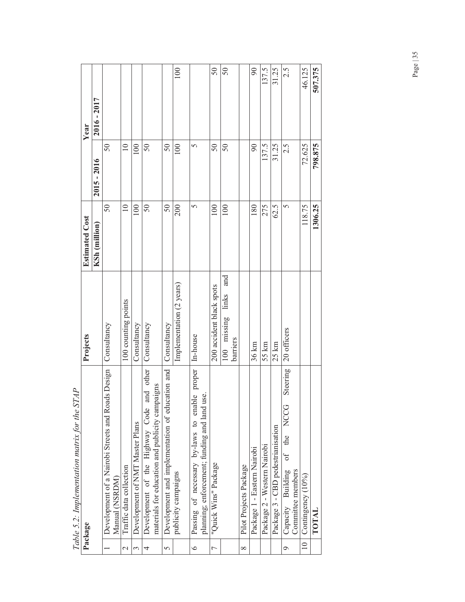|                       | בגברה היה בית המתורכות המונחת היה היה המדרכות                                                    |                                         |                       |                 |               |
|-----------------------|--------------------------------------------------------------------------------------------------|-----------------------------------------|-----------------------|-----------------|---------------|
|                       | Package                                                                                          | Projects                                | <b>Estimated Cost</b> |                 | Year          |
|                       |                                                                                                  |                                         | KSh (million)         | $2015 - 2016$   | $2016 - 2017$ |
|                       | Development of a Nairobi Streets and Roads Design<br>Manual (NSRDM)                              | Consultancy                             | $50\,$                | 50              |               |
| $\sim$                | Traffic data collection                                                                          | 100 counting points                     | $\overline{10}$       | $\overline{10}$ |               |
| $\tilde{\phantom{a}}$ | Development of NMT Master Plans                                                                  | Consultancy                             | 100                   | 100             |               |
| 4                     | and other<br>materials for education and publicity campaigns<br>Development of the Highway Code  | Consultancy                             | $50\,$                | $50\,$          |               |
| $\overline{5}$        | Development and implementation of education and                                                  | Consultancy                             | $50\,$                | 50              |               |
|                       | publicity campaigns                                                                              | Implementation (2 years)                | 200                   | 100             | 100           |
| $\circ$               | Passing of necessary by-laws to enable proper<br>use.<br>planning; enforcement; funding and land | In-house                                | 5                     | 5               |               |
| $\overline{ }$        | "Quick Wins" Package                                                                             | 200 accident black spots                | 100                   | 50              | 50            |
|                       |                                                                                                  | and<br>links<br>100 missing<br>barriers | 100                   | 50              | 50            |
| $\infty$              | Pilot Projects Package                                                                           |                                         |                       |                 |               |
|                       | Package 1 - Eastern Nairobi                                                                      | 36 km                                   | 180                   | $\overline{6}$  | 90            |
|                       | Package 2 - Western Nairobi                                                                      | 55 km                                   | 275                   | 137.5           | 137.5         |
|                       | Package 3 - CBD pedestrianisation                                                                | $25 \mathrm{km}$                        | 62.5                  | 31.25           | 31.25         |
| $\circ$               | Steering<br><b>NCCG</b><br>the<br>of<br>Capacity Building<br>Committee members                   | 20 officers                             | 5                     | 2.5             | 2.5           |
| $\approx$             | Contingency (10%)                                                                                |                                         | 118.75                | 72.625          | 46.125        |
|                       | TOTAL                                                                                            |                                         | 1306.25               | 798.875         | 507.375       |

Table 5.2: Implementation matrix for the STAP *Table 5.2: Implementation matrix for the STAP*  Page | 35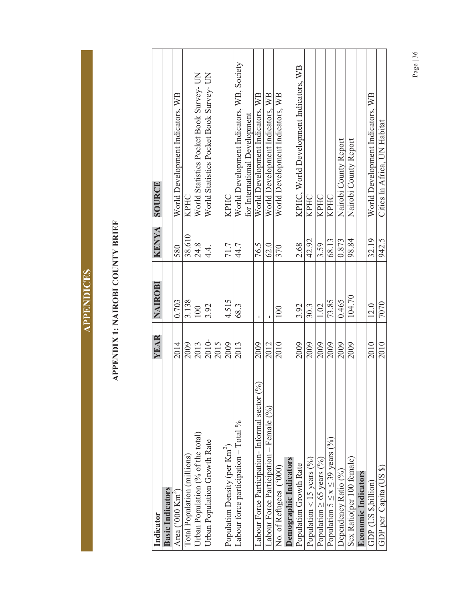# APPENDIX 1: NAIROBI COUNTY BRIEF **APPENDIX 1: NAIROBI COUNTY BRIEF**

| Indicator                                        | YEAR  | NAIROBI     | <b>KENYA</b> | SOURCE                                    |
|--------------------------------------------------|-------|-------------|--------------|-------------------------------------------|
| <b>Basic Indicators</b>                          |       |             |              |                                           |
| Area (' $000$ Km <sup>2</sup> )                  | 2014  | 0.703       | 580          | World Development Indicators, WB          |
| Total Population (millions)                      | 2009  | 3.138       | 38.610       | KPHC                                      |
| Urban Population (% of the total)                | 2013  | 100         | 24.8         | World Statistics Pocket Book Survey- UN   |
| Urban Population Growth Rate                     | 2010- | 3.92        | 4.<br>4.     | World Statistics Pocket Book Survey- UN   |
|                                                  | 2015  |             |              |                                           |
| Population Density (per Km <sup>2</sup> )        | 2009  | 4.515       | 71.7         | KPHC                                      |
| Labour force participation $-$ Total %           | 2013  | 68.3        | 44.7         | World Development Indicators, WB, Society |
|                                                  |       |             |              | for International Development             |
| Labour Force Participation- Informal sector $(%$ | 2009  | $\mathbf I$ | 76.5         | World Development Indicators, WB          |
| Labour Force Participation – Female (%)          | 2012  | Ţ           | 62.0         | World Development Indicators, WB          |
| No. of Refugees ('000)                           | 2010  | 100         | 370          | World Development Indicators, WB          |
| Demographic Indicators                           |       |             |              |                                           |
| Population Growth Rate                           | 2009  | 3.92        | 2.68         | KPHC, World Development Indicators, WB    |
| Population < 15 years $(^{96}_{0})$              | 2009  | 30.3        | 42.92        | <b>KPHC</b>                               |
| Population $\geq$ 65 years (%)                   | 2009  | 1.02        | 3.59         | <b>KPHC</b>                               |
| Population $5 \le x \le 39$ years (%)            | 2009  | 73.85       | 68.13        | KPHC                                      |
| Dependency Ratio (%)                             | 2009  | 0.465       | 0.873        | Nairobi County Report                     |
| Sex Ratio(per 100 female)                        | 2009  | 104.70      | 98.84        | Nairobi County Report                     |
| <b>Economic Indicators</b>                       |       |             |              |                                           |
| GDP (US \$,billion)                              | 2010  | 12.0        | 32.19        | World Development Indicators, WB          |
| GDP per Capita (US \$)                           | 2010  | 7070        | 942.5        | Cities In Africa, UN Habitat              |

Page | 36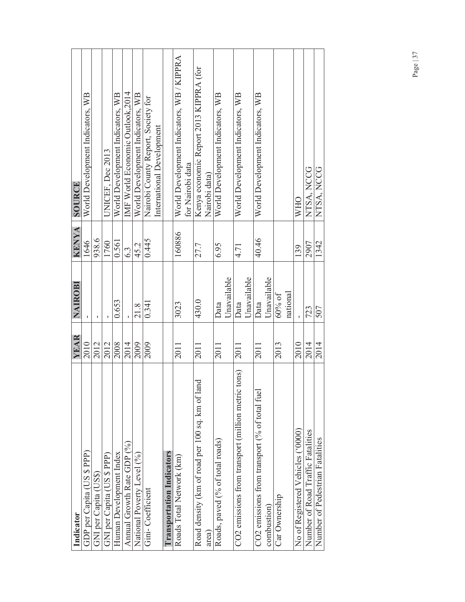| Indicator                                                | YEAR | NAIROBI     | <b>KENYA</b> | SOURCE                                                        |
|----------------------------------------------------------|------|-------------|--------------|---------------------------------------------------------------|
|                                                          |      |             |              |                                                               |
| GDP per Capita (US \$ PPP)                               | 2010 |             | 1646         | World Development Indicators, WB                              |
| GNI per Capita (US\$)                                    | 2012 | ı           | 938.6        |                                                               |
| GNI per Capita (US \$ PPP)                               | 2012 | ı           | 1760         | UNICEF, Dec 2013                                              |
| Human Development Index                                  | 2008 | 0.653       | 0.561        | World Development Indicators, WB                              |
| Annual Growth Rate GDP (%)                               | 2014 |             | 6.3          | IMF World Economic Outlook,2014                               |
| National Poverty Level (%)                               | 2009 | 21.8        | 45.2         | World Development Indicators, WB                              |
| Gini-Coefficient                                         | 2009 | 0.341       | 0.445        | Nairobi County Report, Society for                            |
|                                                          |      |             |              | International Development                                     |
| <b>Transportation Indicators</b>                         |      |             |              |                                                               |
| Roads Total Network (km)                                 | 2011 | 3023        | 160886       | World Development Indicators, WB / KIPPRA<br>for Nairobi data |
| Road density (km of road per 100 sq. km of land<br>area) | 2011 | 430.0       | 27.7         | Kenya economic Report 2013 KIPPRA (for<br>Nairobi data)       |
| Roads, paved (% of total roads)                          | 2011 | Data        | 6.95         | World Development Indicators, WB                              |
|                                                          |      | Unavailable |              |                                                               |
| CO2 emissions from transport (million metric tons)       | 2011 | Data        | 4.71         | World Development Indicators, WB                              |
|                                                          |      | Unavailable |              |                                                               |
| CO2 emissions from transport (% of total fue)            | 2011 | Data        | 40.46        | World Development Indicators, WB                              |
| combustion)                                              |      | Unavailable |              |                                                               |
| Car Ownership                                            | 2013 | $60\%$ of   |              |                                                               |
|                                                          |      | national    |              |                                                               |
| No of Registered Vehicles ('0000)                        | 2010 |             | 139          | <b>WHO</b>                                                    |
| Number of Road Traffic Fatalities                        | 2014 | 723         | 2907         | NTSA, NCCG                                                    |
| Number of Pedestrian Fatalities                          | 2014 | 507         | 1342         | NTSA, NCCG                                                    |
|                                                          |      |             |              |                                                               |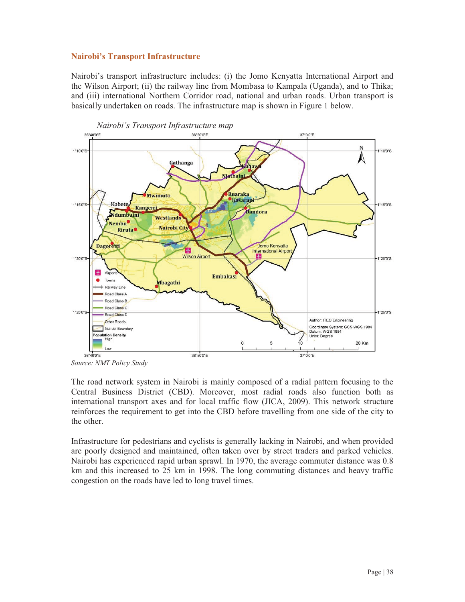# **Nairobi's Transport Infrastructure**

Nairobi's transport infrastructure includes: (i) the Jomo Kenyatta International Airport and the Wilson Airport; (ii) the railway line from Mombasa to Kampala (Uganda), and to Thika; and (iii) international Northern Corridor road, national and urban roads. Urban transport is basically undertaken on roads. The infrastructure map is shown in Figure 1 below.



*Source: NMT Policy Study* 

The road network system in Nairobi is mainly composed of a radial pattern focusing to the Central Business District (CBD). Moreover, most radial roads also function both as international transport axes and for local traffic flow (JICA, 2009). This network structure reinforces the requirement to get into the CBD before travelling from one side of the city to the other.

Infrastructure for pedestrians and cyclists is generally lacking in Nairobi, and when provided are poorly designed and maintained, often taken over by street traders and parked vehicles. Nairobi has experienced rapid urban sprawl. In 1970, the average commuter distance was 0.8 km and this increased to 25 km in 1998. The long commuting distances and heavy traffic congestion on the roads have led to long travel times.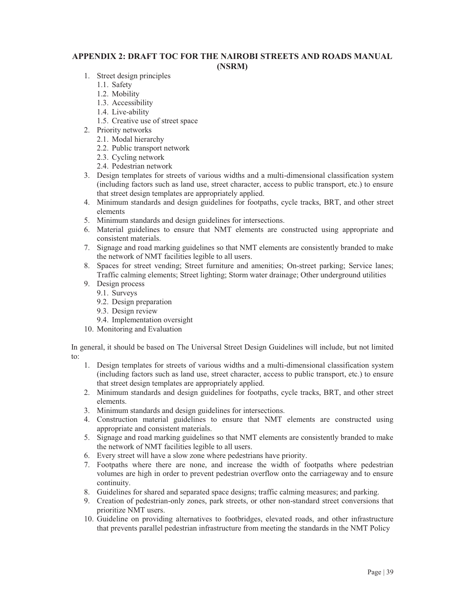#### **APPENDIX 2: DRAFT TOC FOR THE NAIROBI STREETS AND ROADS MANUAL (NSRM)**

- 1. Street design principles
	- 1.1. Safety
	- 1.2. Mobility
	- 1.3. Accessibility
	- 1.4. Live-ability
	- 1.5. Creative use of street space
- 2. Priority networks
	- 2.1. Modal hierarchy
	- 2.2. Public transport network
	- 2.3. Cycling network
	- 2.4. Pedestrian network
- 3. Design templates for streets of various widths and a multi-dimensional classification system (including factors such as land use, street character, access to public transport, etc.) to ensure that street design templates are appropriately applied.
- 4. Minimum standards and design guidelines for footpaths, cycle tracks, BRT, and other street elements
- 5. Minimum standards and design guidelines for intersections.
- 6. Material guidelines to ensure that NMT elements are constructed using appropriate and consistent materials.
- 7. Signage and road marking guidelines so that NMT elements are consistently branded to make the network of NMT facilities legible to all users.
- 8. Spaces for street vending; Street furniture and amenities; On-street parking; Service lanes; Traffic calming elements; Street lighting; Storm water drainage; Other underground utilities
- 9. Design process
	- 9.1. Surveys
	- 9.2. Design preparation
	- 9.3. Design review
	- 9.4. Implementation oversight
- 10. Monitoring and Evaluation

In general, it should be based on The Universal Street Design Guidelines will include, but not limited to:

- 1. Design templates for streets of various widths and a multi-dimensional classification system (including factors such as land use, street character, access to public transport, etc.) to ensure that street design templates are appropriately applied.
- 2. Minimum standards and design guidelines for footpaths, cycle tracks, BRT, and other street elements.
- 3. Minimum standards and design guidelines for intersections.
- 4. Construction material guidelines to ensure that NMT elements are constructed using appropriate and consistent materials.
- 5. Signage and road marking guidelines so that NMT elements are consistently branded to make the network of NMT facilities legible to all users.
- 6. Every street will have a slow zone where pedestrians have priority.
- 7. Footpaths where there are none, and increase the width of footpaths where pedestrian volumes are high in order to prevent pedestrian overflow onto the carriageway and to ensure continuity.
- 8. Guidelines for shared and separated space designs; traffic calming measures; and parking.
- 9. Creation of pedestrian-only zones, park streets, or other non-standard street conversions that prioritize NMT users.
- 10. Guideline on providing alternatives to footbridges, elevated roads, and other infrastructure that prevents parallel pedestrian infrastructure from meeting the standards in the NMT Policy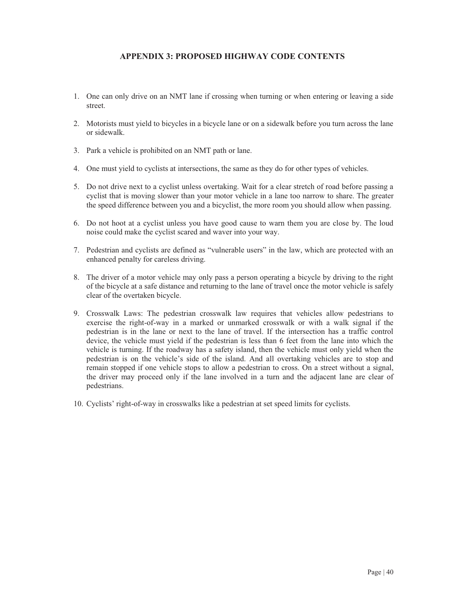# **APPENDIX 3: PROPOSED HIGHWAY CODE CONTENTS**

- 1. One can only drive on an NMT lane if crossing when turning or when entering or leaving a side street.
- 2. Motorists must yield to bicycles in a bicycle lane or on a sidewalk before you turn across the lane or sidewalk.
- 3. Park a vehicle is prohibited on an NMT path or lane.
- 4. One must yield to cyclists at intersections, the same as they do for other types of vehicles.
- 5. Do not drive next to a cyclist unless overtaking. Wait for a clear stretch of road before passing a cyclist that is moving slower than your motor vehicle in a lane too narrow to share. The greater the speed difference between you and a bicyclist, the more room you should allow when passing.
- 6. Do not hoot at a cyclist unless you have good cause to warn them you are close by. The loud noise could make the cyclist scared and waver into your way.
- 7. Pedestrian and cyclists are defined as "vulnerable users" in the law, which are protected with an enhanced penalty for careless driving.
- 8. The driver of a motor vehicle may only pass a person operating a bicycle by driving to the right of the bicycle at a safe distance and returning to the lane of travel once the motor vehicle is safely clear of the overtaken bicycle.
- 9. Crosswalk Laws: The pedestrian crosswalk law requires that vehicles allow pedestrians to exercise the right-of-way in a marked or unmarked crosswalk or with a walk signal if the pedestrian is in the lane or next to the lane of travel. If the intersection has a traffic control device, the vehicle must yield if the pedestrian is less than 6 feet from the lane into which the vehicle is turning. If the roadway has a safety island, then the vehicle must only yield when the pedestrian is on the vehicle's side of the island. And all overtaking vehicles are to stop and remain stopped if one vehicle stops to allow a pedestrian to cross. On a street without a signal, the driver may proceed only if the lane involved in a turn and the adjacent lane are clear of pedestrians.
- 10. Cyclists' right-of-way in crosswalks like a pedestrian at set speed limits for cyclists.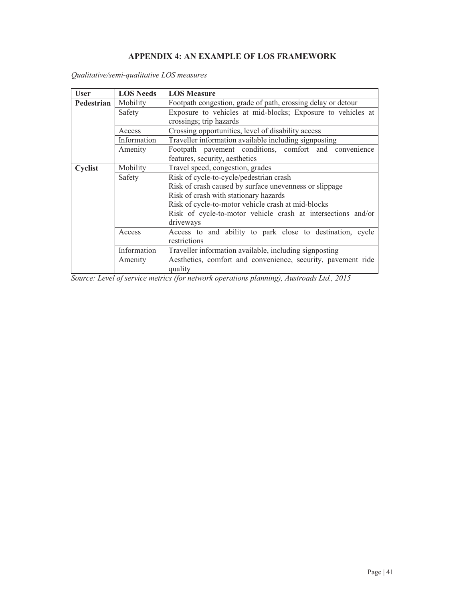# **APPENDIX 4: AN EXAMPLE OF LOS FRAMEWORK**

| <b>User</b> | <b>LOS Needs</b> | <b>LOS Measure</b>                                                      |
|-------------|------------------|-------------------------------------------------------------------------|
| Pedestrian  | Mobility         | Footpath congestion, grade of path, crossing delay or detour            |
|             | Safety           | Exposure to vehicles at mid-blocks; Exposure to vehicles at             |
|             |                  | crossings; trip hazards                                                 |
|             | Access           | Crossing opportunities, level of disability access                      |
|             | Information      | Traveller information available including signposting                   |
|             | Amenity          | Footpath pavement conditions, comfort and convenience                   |
|             |                  | features, security, aesthetics                                          |
| Cyclist     | Mobility         | Travel speed, congestion, grades                                        |
|             | Safety           | Risk of cycle-to-cycle/pedestrian crash                                 |
|             |                  | Risk of crash caused by surface unevenness or slippage                  |
|             |                  | Risk of crash with stationary hazards                                   |
|             |                  | Risk of cycle-to-motor vehicle crash at mid-blocks                      |
|             |                  | Risk of cycle-to-motor vehicle crash at intersections and/or            |
|             |                  | driveways                                                               |
|             | Access           | Access to and ability to park close to destination, cycle               |
|             |                  | restrictions                                                            |
|             | Information      | Traveller information available, including signposting                  |
|             | Amenity          | Aesthetics, comfort and convenience, security, pavement ride<br>quality |

*Qualitative/semi-qualitative LOS measures* 

*Source: Level of service metrics (for network operations planning), Austroads Ltd., 2015*